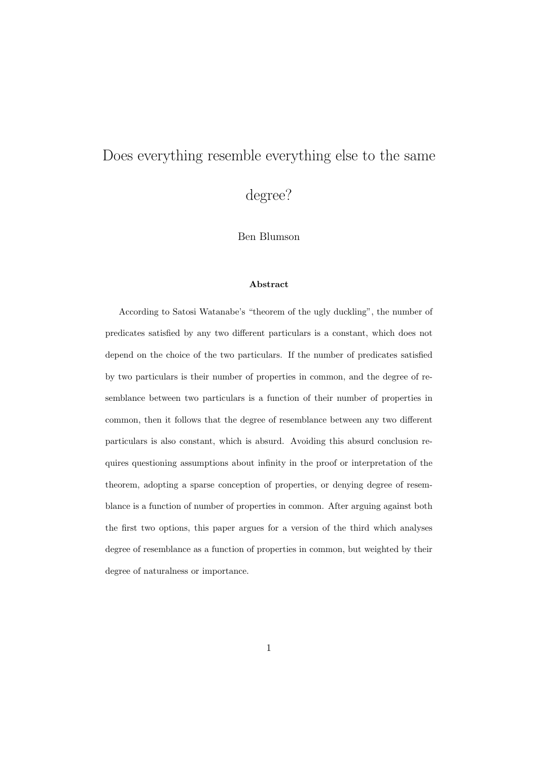# Does everything resemble everything else to the same

degree?

Ben Blumson

#### Abstract

According to Satosi Watanabe's "theorem of the ugly duckling", the number of predicates satisfied by any two different particulars is a constant, which does not depend on the choice of the two particulars. If the number of predicates satisfied by two particulars is their number of properties in common, and the degree of resemblance between two particulars is a function of their number of properties in common, then it follows that the degree of resemblance between any two different particulars is also constant, which is absurd. Avoiding this absurd conclusion requires questioning assumptions about infinity in the proof or interpretation of the theorem, adopting a sparse conception of properties, or denying degree of resemblance is a function of number of properties in common. After arguing against both the first two options, this paper argues for a version of the third which analyses degree of resemblance as a function of properties in common, but weighted by their degree of naturalness or importance.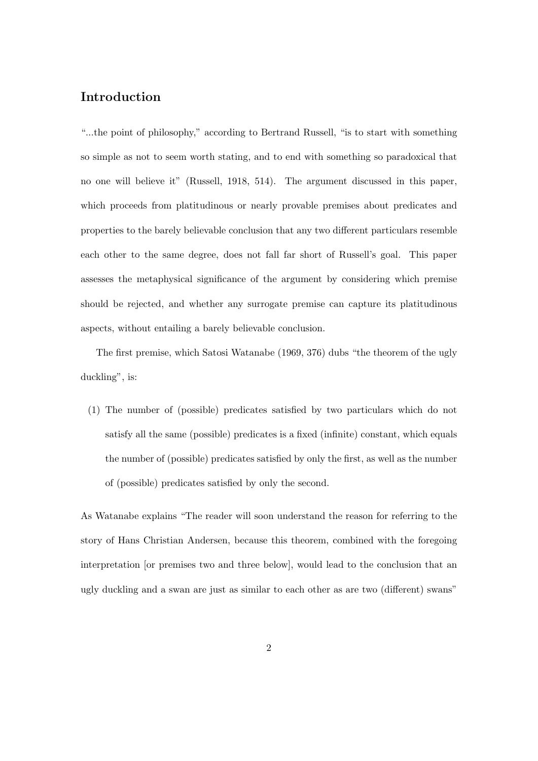## Introduction

"...the point of philosophy," according to Bertrand Russell, "is to start with something so simple as not to seem worth stating, and to end with something so paradoxical that no one will believe it" (Russell, 1918, 514). The argument discussed in this paper, which proceeds from platitudinous or nearly provable premises about predicates and properties to the barely believable conclusion that any two different particulars resemble each other to the same degree, does not fall far short of Russell's goal. This paper assesses the metaphysical significance of the argument by considering which premise should be rejected, and whether any surrogate premise can capture its platitudinous aspects, without entailing a barely believable conclusion.

The first premise, which Satosi Watanabe (1969, 376) dubs "the theorem of the ugly duckling", is:

(1) The number of (possible) predicates satisfied by two particulars which do not satisfy all the same (possible) predicates is a fixed (infinite) constant, which equals the number of (possible) predicates satisfied by only the first, as well as the number of (possible) predicates satisfied by only the second.

As Watanabe explains "The reader will soon understand the reason for referring to the story of Hans Christian Andersen, because this theorem, combined with the foregoing interpretation [or premises two and three below], would lead to the conclusion that an ugly duckling and a swan are just as similar to each other as are two (different) swans"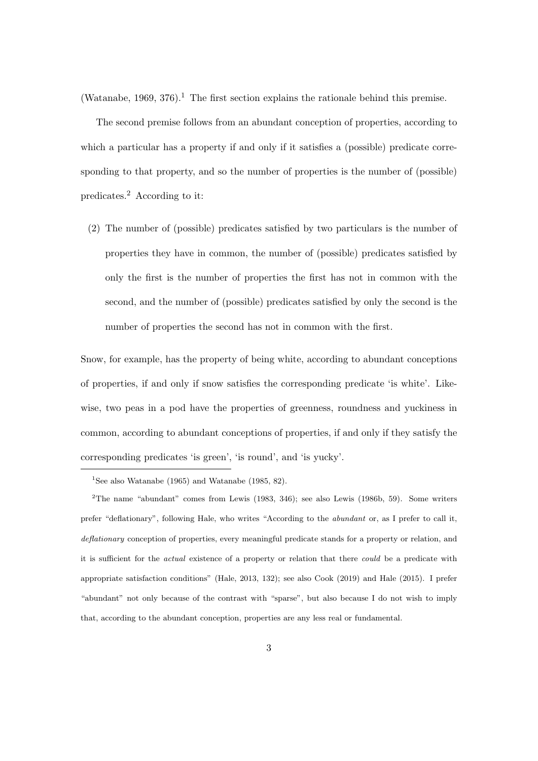(Watanabe, 1969, 376).<sup>1</sup> The first section explains the rationale behind this premise.

The second premise follows from an abundant conception of properties, according to which a particular has a property if and only if it satisfies a (possible) predicate corresponding to that property, and so the number of properties is the number of (possible) predicates.<sup>2</sup> According to it:

(2) The number of (possible) predicates satisfied by two particulars is the number of properties they have in common, the number of (possible) predicates satisfied by only the first is the number of properties the first has not in common with the second, and the number of (possible) predicates satisfied by only the second is the number of properties the second has not in common with the first.

Snow, for example, has the property of being white, according to abundant conceptions of properties, if and only if snow satisfies the corresponding predicate 'is white'. Likewise, two peas in a pod have the properties of greenness, roundness and yuckiness in common, according to abundant conceptions of properties, if and only if they satisfy the corresponding predicates 'is green', 'is round', and 'is yucky'.

<sup>&</sup>lt;sup>1</sup>See also Watanabe (1965) and Watanabe (1985, 82).

<sup>&</sup>lt;sup>2</sup>The name "abundant" comes from Lewis (1983, 346); see also Lewis (1986b, 59). Some writers prefer "deflationary", following Hale, who writes "According to the abundant or, as I prefer to call it, deflationary conception of properties, every meaningful predicate stands for a property or relation, and it is sufficient for the *actual* existence of a property or relation that there *could* be a predicate with appropriate satisfaction conditions" (Hale, 2013, 132); see also Cook (2019) and Hale (2015). I prefer "abundant" not only because of the contrast with "sparse", but also because I do not wish to imply that, according to the abundant conception, properties are any less real or fundamental.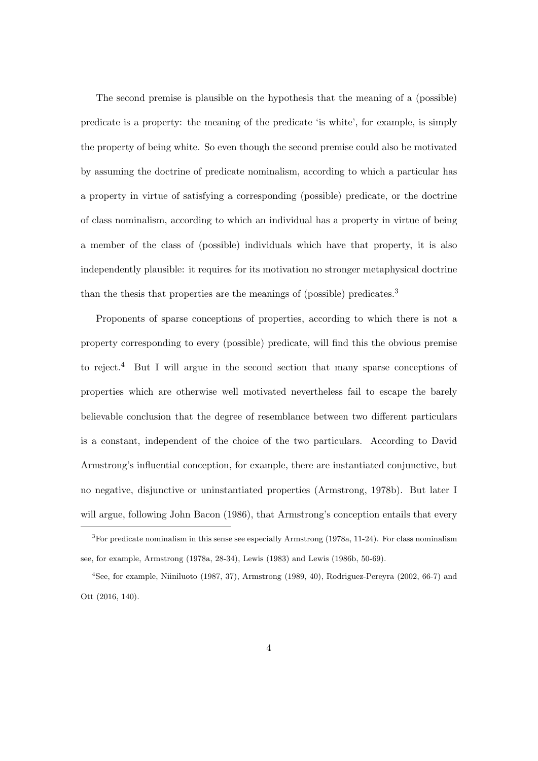The second premise is plausible on the hypothesis that the meaning of a (possible) predicate is a property: the meaning of the predicate 'is white', for example, is simply the property of being white. So even though the second premise could also be motivated by assuming the doctrine of predicate nominalism, according to which a particular has a property in virtue of satisfying a corresponding (possible) predicate, or the doctrine of class nominalism, according to which an individual has a property in virtue of being a member of the class of (possible) individuals which have that property, it is also independently plausible: it requires for its motivation no stronger metaphysical doctrine than the thesis that properties are the meanings of (possible) predicates.<sup>3</sup>

Proponents of sparse conceptions of properties, according to which there is not a property corresponding to every (possible) predicate, will find this the obvious premise to reject.<sup>4</sup> But I will argue in the second section that many sparse conceptions of properties which are otherwise well motivated nevertheless fail to escape the barely believable conclusion that the degree of resemblance between two different particulars is a constant, independent of the choice of the two particulars. According to David Armstrong's influential conception, for example, there are instantiated conjunctive, but no negative, disjunctive or uninstantiated properties (Armstrong, 1978b). But later I will argue, following John Bacon (1986), that Armstrong's conception entails that every

<sup>3</sup>For predicate nominalism in this sense see especially Armstrong (1978a, 11-24). For class nominalism see, for example, Armstrong (1978a, 28-34), Lewis (1983) and Lewis (1986b, 50-69).

<sup>4</sup>See, for example, Niiniluoto (1987, 37), Armstrong (1989, 40), Rodriguez-Pereyra (2002, 66-7) and Ott (2016, 140).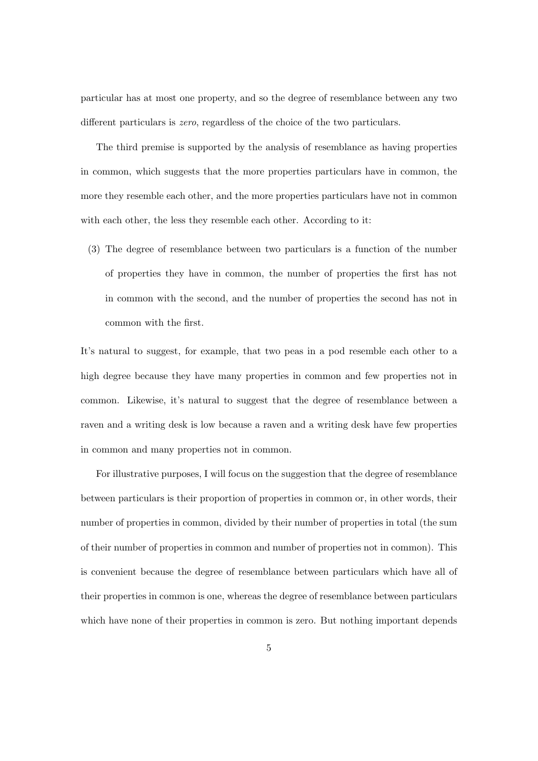particular has at most one property, and so the degree of resemblance between any two different particulars is zero, regardless of the choice of the two particulars.

The third premise is supported by the analysis of resemblance as having properties in common, which suggests that the more properties particulars have in common, the more they resemble each other, and the more properties particulars have not in common with each other, the less they resemble each other. According to it:

(3) The degree of resemblance between two particulars is a function of the number of properties they have in common, the number of properties the first has not in common with the second, and the number of properties the second has not in common with the first.

It's natural to suggest, for example, that two peas in a pod resemble each other to a high degree because they have many properties in common and few properties not in common. Likewise, it's natural to suggest that the degree of resemblance between a raven and a writing desk is low because a raven and a writing desk have few properties in common and many properties not in common.

For illustrative purposes, I will focus on the suggestion that the degree of resemblance between particulars is their proportion of properties in common or, in other words, their number of properties in common, divided by their number of properties in total (the sum of their number of properties in common and number of properties not in common). This is convenient because the degree of resemblance between particulars which have all of their properties in common is one, whereas the degree of resemblance between particulars which have none of their properties in common is zero. But nothing important depends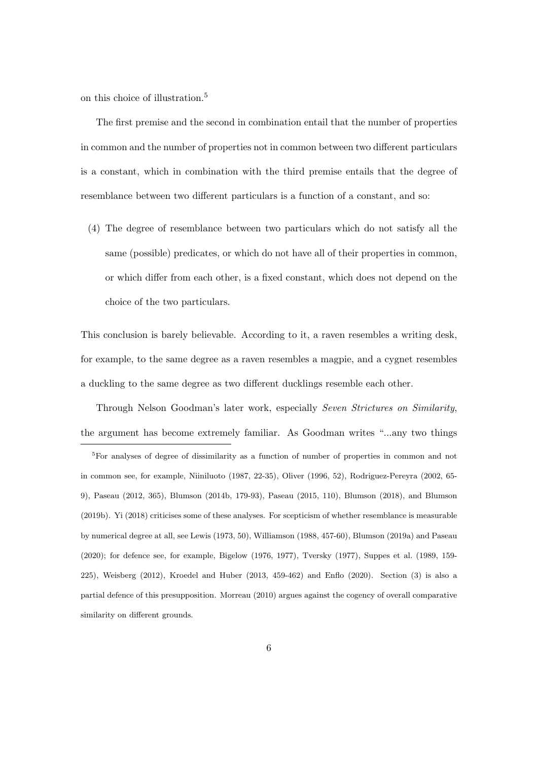on this choice of illustration.<sup>5</sup>

The first premise and the second in combination entail that the number of properties in common and the number of properties not in common between two different particulars is a constant, which in combination with the third premise entails that the degree of resemblance between two different particulars is a function of a constant, and so:

(4) The degree of resemblance between two particulars which do not satisfy all the same (possible) predicates, or which do not have all of their properties in common, or which differ from each other, is a fixed constant, which does not depend on the choice of the two particulars.

This conclusion is barely believable. According to it, a raven resembles a writing desk, for example, to the same degree as a raven resembles a magpie, and a cygnet resembles a duckling to the same degree as two different ducklings resemble each other.

Through Nelson Goodman's later work, especially Seven Strictures on Similarity, the argument has become extremely familiar. As Goodman writes "...any two things

<sup>5</sup>For analyses of degree of dissimilarity as a function of number of properties in common and not in common see, for example, Niiniluoto (1987, 22-35), Oliver (1996, 52), Rodriguez-Pereyra (2002, 65- 9), Paseau (2012, 365), Blumson (2014b, 179-93), Paseau (2015, 110), Blumson (2018), and Blumson (2019b). Yi (2018) criticises some of these analyses. For scepticism of whether resemblance is measurable by numerical degree at all, see Lewis (1973, 50), Williamson (1988, 457-60), Blumson (2019a) and Paseau (2020); for defence see, for example, Bigelow (1976, 1977), Tversky (1977), Suppes et al. (1989, 159- 225), Weisberg (2012), Kroedel and Huber (2013, 459-462) and Enflo (2020). Section (3) is also a partial defence of this presupposition. Morreau (2010) argues against the cogency of overall comparative similarity on different grounds.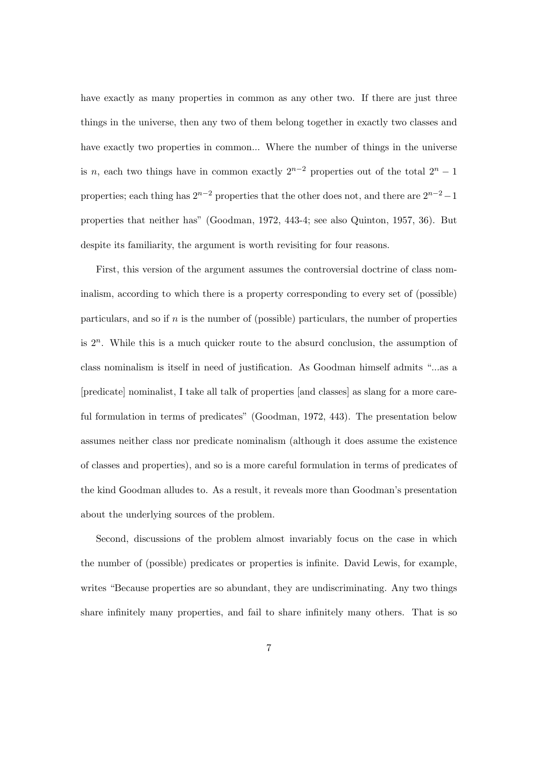have exactly as many properties in common as any other two. If there are just three things in the universe, then any two of them belong together in exactly two classes and have exactly two properties in common... Where the number of things in the universe is n, each two things have in common exactly  $2^{n-2}$  properties out of the total  $2^n - 1$ properties; each thing has  $2^{n-2}$  properties that the other does not, and there are  $2^{n-2}-1$ properties that neither has" (Goodman, 1972, 443-4; see also Quinton, 1957, 36). But despite its familiarity, the argument is worth revisiting for four reasons.

First, this version of the argument assumes the controversial doctrine of class nominalism, according to which there is a property corresponding to every set of (possible) particulars, and so if  $n$  is the number of (possible) particulars, the number of properties is  $2<sup>n</sup>$ . While this is a much quicker route to the absurd conclusion, the assumption of class nominalism is itself in need of justification. As Goodman himself admits "...as a [predicate] nominalist, I take all talk of properties [and classes] as slang for a more careful formulation in terms of predicates" (Goodman, 1972, 443). The presentation below assumes neither class nor predicate nominalism (although it does assume the existence of classes and properties), and so is a more careful formulation in terms of predicates of the kind Goodman alludes to. As a result, it reveals more than Goodman's presentation about the underlying sources of the problem.

Second, discussions of the problem almost invariably focus on the case in which the number of (possible) predicates or properties is infinite. David Lewis, for example, writes "Because properties are so abundant, they are undiscriminating. Any two things share infinitely many properties, and fail to share infinitely many others. That is so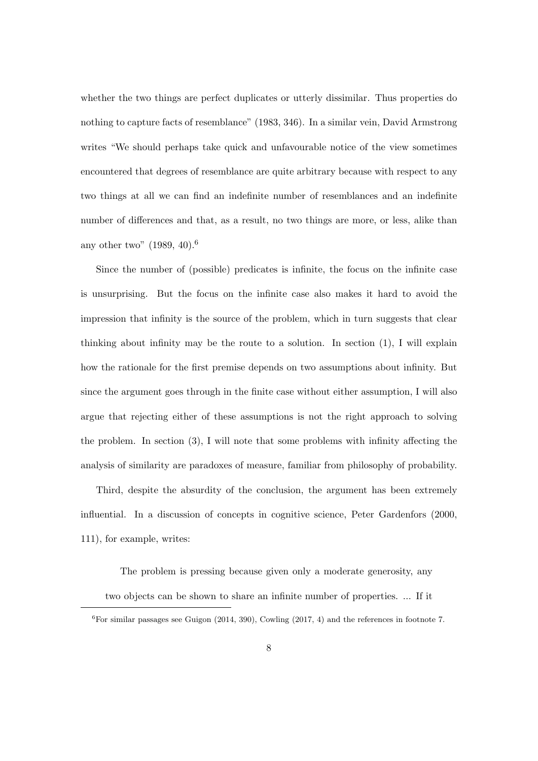whether the two things are perfect duplicates or utterly dissimilar. Thus properties do nothing to capture facts of resemblance" (1983, 346). In a similar vein, David Armstrong writes "We should perhaps take quick and unfavourable notice of the view sometimes encountered that degrees of resemblance are quite arbitrary because with respect to any two things at all we can find an indefinite number of resemblances and an indefinite number of differences and that, as a result, no two things are more, or less, alike than any other two"  $(1989, 40).$ <sup>6</sup>

Since the number of (possible) predicates is infinite, the focus on the infinite case is unsurprising. But the focus on the infinite case also makes it hard to avoid the impression that infinity is the source of the problem, which in turn suggests that clear thinking about infinity may be the route to a solution. In section  $(1)$ , I will explain how the rationale for the first premise depends on two assumptions about infinity. But since the argument goes through in the finite case without either assumption, I will also argue that rejecting either of these assumptions is not the right approach to solving the problem. In section (3), I will note that some problems with infinity affecting the analysis of similarity are paradoxes of measure, familiar from philosophy of probability.

Third, despite the absurdity of the conclusion, the argument has been extremely influential. In a discussion of concepts in cognitive science, Peter Gardenfors (2000, 111), for example, writes:

The problem is pressing because given only a moderate generosity, any two objects can be shown to share an infinite number of properties. ... If it

 ${}^{6}$  For similar passages see Guigon (2014, 390), Cowling (2017, 4) and the references in footnote 7.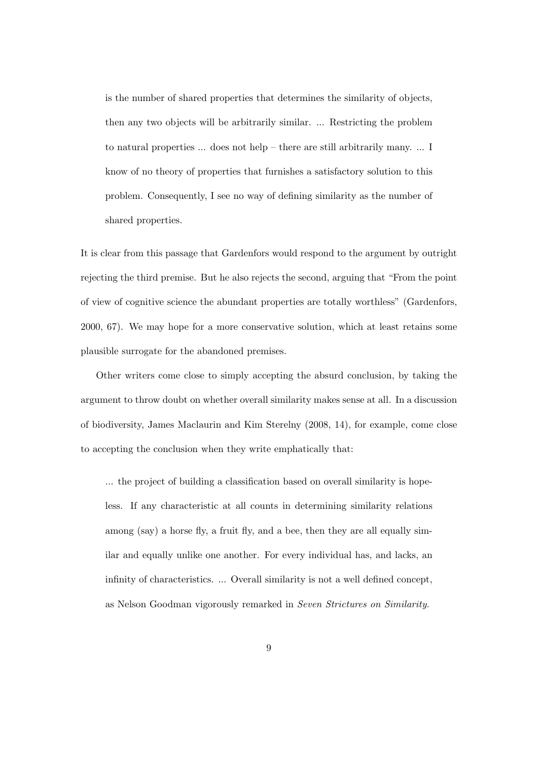is the number of shared properties that determines the similarity of objects, then any two objects will be arbitrarily similar. ... Restricting the problem to natural properties ... does not help – there are still arbitrarily many. ... I know of no theory of properties that furnishes a satisfactory solution to this problem. Consequently, I see no way of defining similarity as the number of shared properties.

It is clear from this passage that Gardenfors would respond to the argument by outright rejecting the third premise. But he also rejects the second, arguing that "From the point of view of cognitive science the abundant properties are totally worthless" (Gardenfors, 2000, 67). We may hope for a more conservative solution, which at least retains some plausible surrogate for the abandoned premises.

Other writers come close to simply accepting the absurd conclusion, by taking the argument to throw doubt on whether overall similarity makes sense at all. In a discussion of biodiversity, James Maclaurin and Kim Sterelny (2008, 14), for example, come close to accepting the conclusion when they write emphatically that:

... the project of building a classification based on overall similarity is hopeless. If any characteristic at all counts in determining similarity relations among (say) a horse fly, a fruit fly, and a bee, then they are all equally similar and equally unlike one another. For every individual has, and lacks, an infinity of characteristics. ... Overall similarity is not a well defined concept, as Nelson Goodman vigorously remarked in Seven Strictures on Similarity.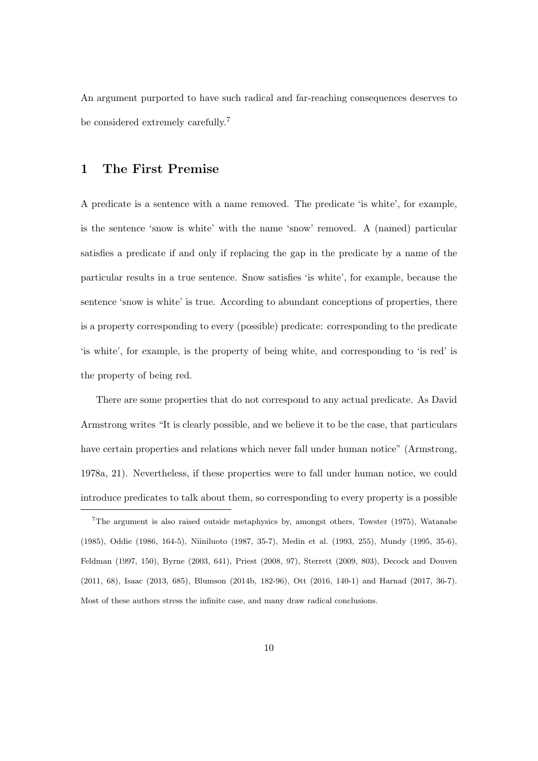An argument purported to have such radical and far-reaching consequences deserves to be considered extremely carefully.<sup>7</sup>

### 1 The First Premise

A predicate is a sentence with a name removed. The predicate 'is white', for example, is the sentence 'snow is white' with the name 'snow' removed. A (named) particular satisfies a predicate if and only if replacing the gap in the predicate by a name of the particular results in a true sentence. Snow satisfies 'is white', for example, because the sentence 'snow is white' is true. According to abundant conceptions of properties, there is a property corresponding to every (possible) predicate: corresponding to the predicate 'is white', for example, is the property of being white, and corresponding to 'is red' is the property of being red.

There are some properties that do not correspond to any actual predicate. As David Armstrong writes "It is clearly possible, and we believe it to be the case, that particulars have certain properties and relations which never fall under human notice" (Armstrong, 1978a, 21). Nevertheless, if these properties were to fall under human notice, we could introduce predicates to talk about them, so corresponding to every property is a possible

<sup>7</sup>The argument is also raised outside metaphysics by, amongst others, Towster (1975), Watanabe (1985), Oddie (1986, 164-5), Niiniluoto (1987, 35-7), Medin et al. (1993, 255), Mundy (1995, 35-6), Feldman (1997, 150), Byrne (2003, 641), Priest (2008, 97), Sterrett (2009, 803), Decock and Douven (2011, 68), Isaac (2013, 685), Blumson (2014b, 182-96), Ott (2016, 140-1) and Harnad (2017, 36-7). Most of these authors stress the infinite case, and many draw radical conclusions.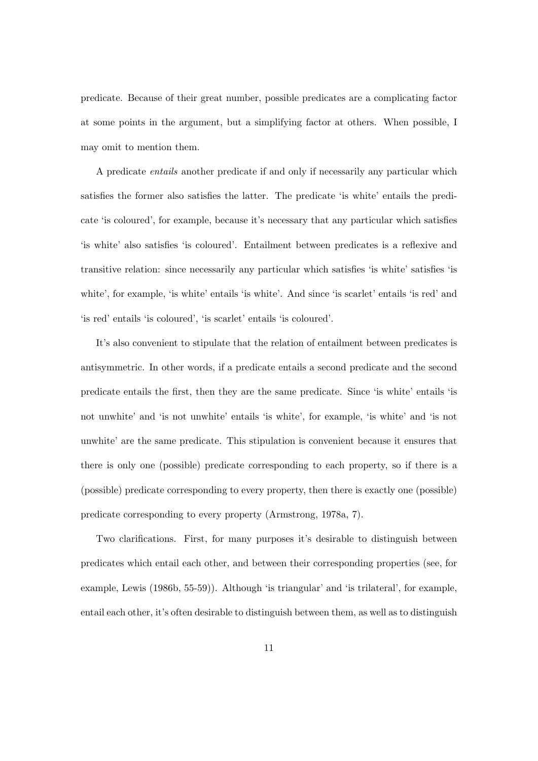predicate. Because of their great number, possible predicates are a complicating factor at some points in the argument, but a simplifying factor at others. When possible, I may omit to mention them.

A predicate entails another predicate if and only if necessarily any particular which satisfies the former also satisfies the latter. The predicate 'is white' entails the predicate 'is coloured', for example, because it's necessary that any particular which satisfies 'is white' also satisfies 'is coloured'. Entailment between predicates is a reflexive and transitive relation: since necessarily any particular which satisfies 'is white' satisfies 'is white', for example, 'is white' entails 'is white'. And since 'is scarlet' entails 'is red' and 'is red' entails 'is coloured', 'is scarlet' entails 'is coloured'.

It's also convenient to stipulate that the relation of entailment between predicates is antisymmetric. In other words, if a predicate entails a second predicate and the second predicate entails the first, then they are the same predicate. Since 'is white' entails 'is not unwhite' and 'is not unwhite' entails 'is white', for example, 'is white' and 'is not unwhite' are the same predicate. This stipulation is convenient because it ensures that there is only one (possible) predicate corresponding to each property, so if there is a (possible) predicate corresponding to every property, then there is exactly one (possible) predicate corresponding to every property (Armstrong, 1978a, 7).

Two clarifications. First, for many purposes it's desirable to distinguish between predicates which entail each other, and between their corresponding properties (see, for example, Lewis (1986b, 55-59)). Although 'is triangular' and 'is trilateral', for example, entail each other, it's often desirable to distinguish between them, as well as to distinguish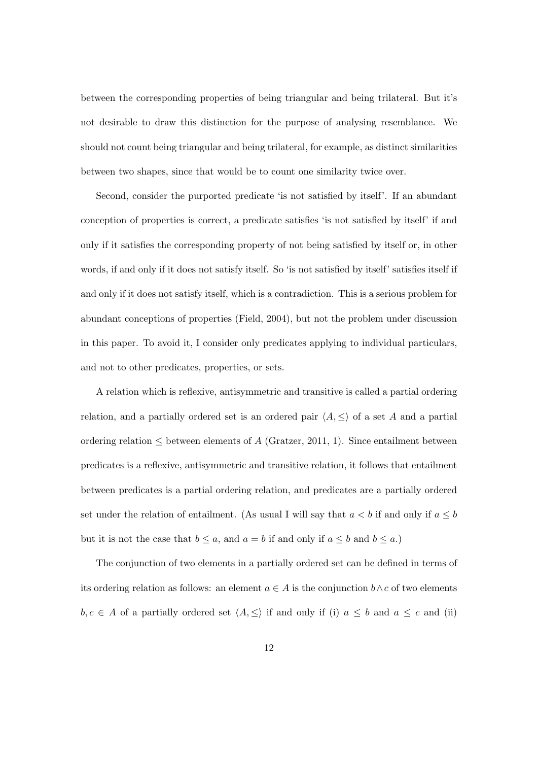between the corresponding properties of being triangular and being trilateral. But it's not desirable to draw this distinction for the purpose of analysing resemblance. We should not count being triangular and being trilateral, for example, as distinct similarities between two shapes, since that would be to count one similarity twice over.

Second, consider the purported predicate 'is not satisfied by itself'. If an abundant conception of properties is correct, a predicate satisfies 'is not satisfied by itself' if and only if it satisfies the corresponding property of not being satisfied by itself or, in other words, if and only if it does not satisfy itself. So 'is not satisfied by itself' satisfies itself if and only if it does not satisfy itself, which is a contradiction. This is a serious problem for abundant conceptions of properties (Field, 2004), but not the problem under discussion in this paper. To avoid it, I consider only predicates applying to individual particulars, and not to other predicates, properties, or sets.

A relation which is reflexive, antisymmetric and transitive is called a partial ordering relation, and a partially ordered set is an ordered pair  $\langle A, \leq \rangle$  of a set A and a partial ordering relation  $\leq$  between elements of A (Gratzer, 2011, 1). Since entailment between predicates is a reflexive, antisymmetric and transitive relation, it follows that entailment between predicates is a partial ordering relation, and predicates are a partially ordered set under the relation of entailment. (As usual I will say that  $a < b$  if and only if  $a \leq b$ but it is not the case that  $b \le a$ , and  $a = b$  if and only if  $a \le b$  and  $b \le a$ .)

The conjunction of two elements in a partially ordered set can be defined in terms of its ordering relation as follows: an element  $a \in A$  is the conjunction  $b \wedge c$  of two elements  $b, c \in A$  of a partially ordered set  $\langle A, \leq \rangle$  if and only if (i)  $a \leq b$  and  $a \leq c$  and (ii)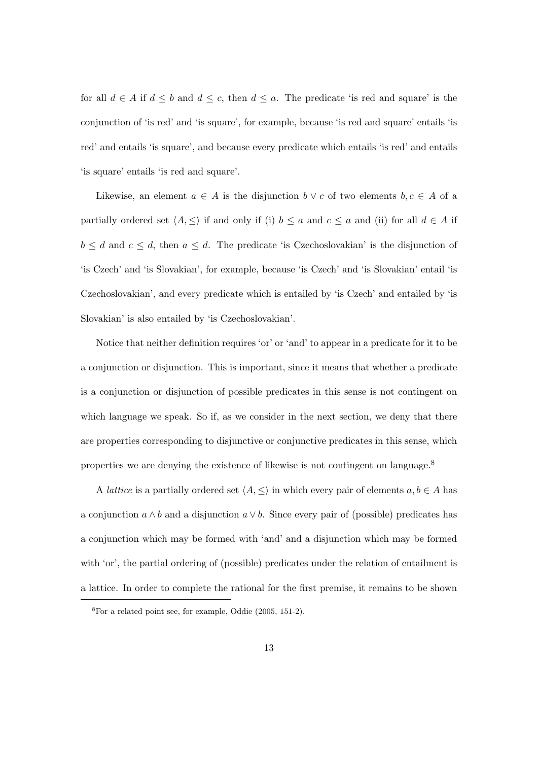for all  $d \in A$  if  $d \leq b$  and  $d \leq c$ , then  $d \leq a$ . The predicate 'is red and square' is the conjunction of 'is red' and 'is square', for example, because 'is red and square' entails 'is red' and entails 'is square', and because every predicate which entails 'is red' and entails 'is square' entails 'is red and square'.

Likewise, an element  $a \in A$  is the disjunction  $b \vee c$  of two elements  $b, c \in A$  of a partially ordered set  $\langle A, \leq \rangle$  if and only if (i)  $b \leq a$  and  $c \leq a$  and (ii) for all  $d \in A$  if  $b \leq d$  and  $c \leq d$ , then  $a \leq d$ . The predicate 'is Czechoslovakian' is the disjunction of 'is Czech' and 'is Slovakian', for example, because 'is Czech' and 'is Slovakian' entail 'is Czechoslovakian', and every predicate which is entailed by 'is Czech' and entailed by 'is Slovakian' is also entailed by 'is Czechoslovakian'.

Notice that neither definition requires 'or' or 'and' to appear in a predicate for it to be a conjunction or disjunction. This is important, since it means that whether a predicate is a conjunction or disjunction of possible predicates in this sense is not contingent on which language we speak. So if, as we consider in the next section, we deny that there are properties corresponding to disjunctive or conjunctive predicates in this sense, which properties we are denying the existence of likewise is not contingent on language.<sup>8</sup>

A *lattice* is a partially ordered set  $\langle A, \leq \rangle$  in which every pair of elements  $a, b \in A$  has a conjunction  $a \wedge b$  and a disjunction  $a \vee b$ . Since every pair of (possible) predicates has a conjunction which may be formed with 'and' and a disjunction which may be formed with 'or', the partial ordering of (possible) predicates under the relation of entailment is a lattice. In order to complete the rational for the first premise, it remains to be shown

<sup>8</sup>For a related point see, for example, Oddie (2005, 151-2).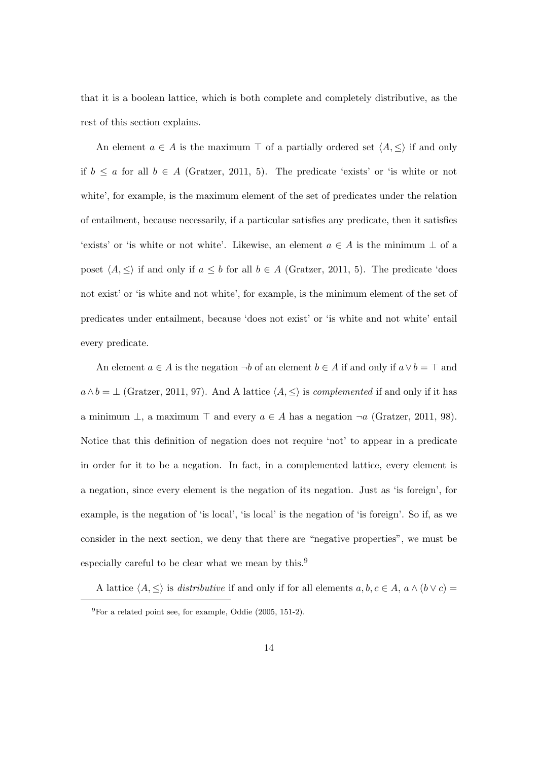that it is a boolean lattice, which is both complete and completely distributive, as the rest of this section explains.

An element  $a \in A$  is the maximum  $\top$  of a partially ordered set  $\langle A, \leq \rangle$  if and only if  $b \le a$  for all  $b \in A$  (Gratzer, 2011, 5). The predicate 'exists' or 'is white or not white', for example, is the maximum element of the set of predicates under the relation of entailment, because necessarily, if a particular satisfies any predicate, then it satisfies 'exists' or 'is white or not white'. Likewise, an element  $a \in A$  is the minimum  $\perp$  of a poset  $\langle A, \leq \rangle$  if and only if  $a \leq b$  for all  $b \in A$  (Gratzer, 2011, 5). The predicate 'does not exist' or 'is white and not white', for example, is the minimum element of the set of predicates under entailment, because 'does not exist' or 'is white and not white' entail every predicate.

An element  $a \in A$  is the negation  $\neg b$  of an element  $b \in A$  if and only if  $a \vee b = \top$  and  $a \wedge b = \perp$  (Gratzer, 2011, 97). And A lattice  $\langle A, \leq \rangle$  is *complemented* if and only if it has a minimum  $\perp$ , a maximum  $\top$  and every  $a \in A$  has a negation  $\neg a$  (Gratzer, 2011, 98). Notice that this definition of negation does not require 'not' to appear in a predicate in order for it to be a negation. In fact, in a complemented lattice, every element is a negation, since every element is the negation of its negation. Just as 'is foreign', for example, is the negation of 'is local', 'is local' is the negation of 'is foreign'. So if, as we consider in the next section, we deny that there are "negative properties", we must be especially careful to be clear what we mean by this.<sup>9</sup>

A lattice  $\langle A, \leq \rangle$  is *distributive* if and only if for all elements  $a, b, c \in A$ ,  $a \wedge (b \vee c) =$ 

 $^{9}$ For a related point see, for example, Oddie (2005, 151-2).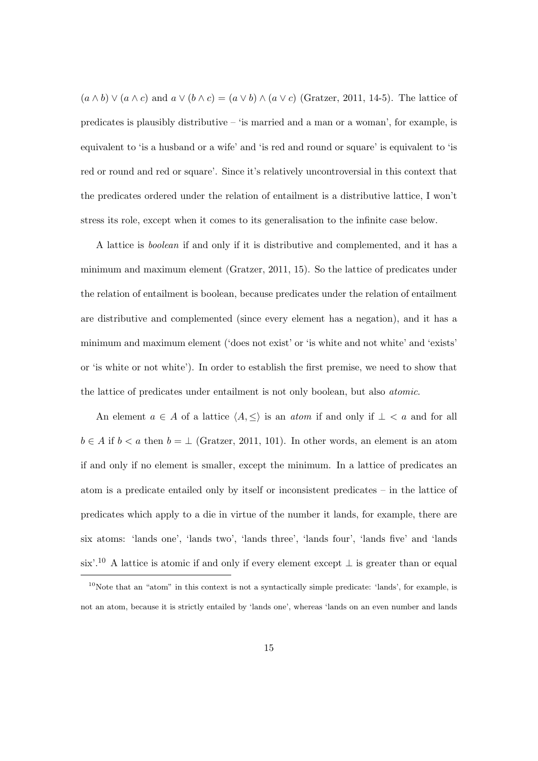$(a \wedge b) \vee (a \wedge c)$  and  $a \vee (b \wedge c) = (a \vee b) \wedge (a \vee c)$  (Gratzer, 2011, 14-5). The lattice of predicates is plausibly distributive – 'is married and a man or a woman', for example, is equivalent to 'is a husband or a wife' and 'is red and round or square' is equivalent to 'is red or round and red or square'. Since it's relatively uncontroversial in this context that the predicates ordered under the relation of entailment is a distributive lattice, I won't stress its role, except when it comes to its generalisation to the infinite case below.

A lattice is boolean if and only if it is distributive and complemented, and it has a minimum and maximum element (Gratzer, 2011, 15). So the lattice of predicates under the relation of entailment is boolean, because predicates under the relation of entailment are distributive and complemented (since every element has a negation), and it has a minimum and maximum element ('does not exist' or 'is white and not white' and 'exists' or 'is white or not white'). In order to establish the first premise, we need to show that the lattice of predicates under entailment is not only boolean, but also atomic.

An element  $a \in A$  of a lattice  $\langle A, \leq \rangle$  is an *atom* if and only if  $\bot < a$  and for all  $b \in A$  if  $b < a$  then  $b = \perp$  (Gratzer, 2011, 101). In other words, an element is an atom if and only if no element is smaller, except the minimum. In a lattice of predicates an atom is a predicate entailed only by itself or inconsistent predicates – in the lattice of predicates which apply to a die in virtue of the number it lands, for example, there are six atoms: 'lands one', 'lands two', 'lands three', 'lands four', 'lands five' and 'lands six'.<sup>10</sup> A lattice is atomic if and only if every element except  $\perp$  is greater than or equal

 $10$ Note that an "atom" in this context is not a syntactically simple predicate: 'lands', for example, is not an atom, because it is strictly entailed by 'lands one', whereas 'lands on an even number and lands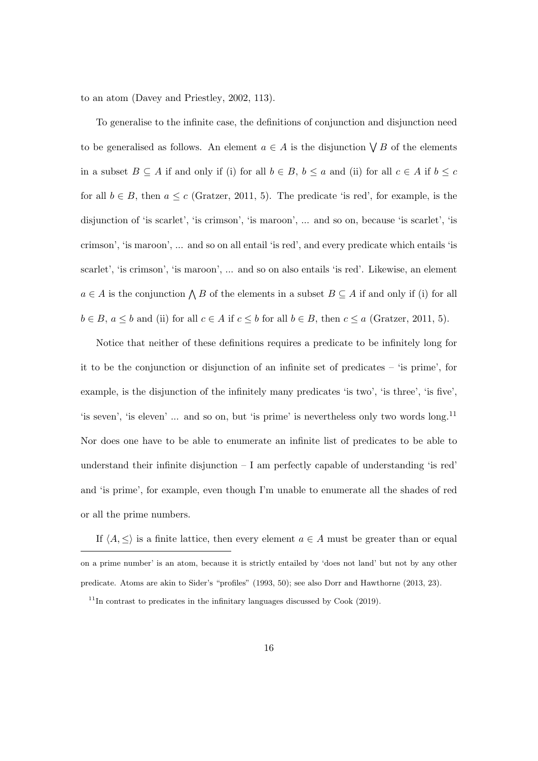to an atom (Davey and Priestley, 2002, 113).

To generalise to the infinite case, the definitions of conjunction and disjunction need to be generalised as follows. An element  $a \in A$  is the disjunction  $\bigvee B$  of the elements in a subset  $B \subseteq A$  if and only if (i) for all  $b \in B$ ,  $b \le a$  and (ii) for all  $c \in A$  if  $b \le c$ for all  $b \in B$ , then  $a \leq c$  (Gratzer, 2011, 5). The predicate 'is red', for example, is the disjunction of 'is scarlet', 'is crimson', 'is maroon', ... and so on, because 'is scarlet', 'is crimson', 'is maroon', ... and so on all entail 'is red', and every predicate which entails 'is scarlet', 'is crimson', 'is maroon', ... and so on also entails 'is red'. Likewise, an element  $a \in A$  is the conjunction  $\bigwedge B$  of the elements in a subset  $B \subseteq A$  if and only if (i) for all  $b \in B$ ,  $a \leq b$  and (ii) for all  $c \in A$  if  $c \leq b$  for all  $b \in B$ , then  $c \leq a$  (Gratzer, 2011, 5).

Notice that neither of these definitions requires a predicate to be infinitely long for it to be the conjunction or disjunction of an infinite set of predicates – 'is prime', for example, is the disjunction of the infinitely many predicates 'is two', 'is three', 'is five', 'is seven', 'is eleven' ... and so on, but 'is prime' is nevertheless only two words long.<sup>11</sup> Nor does one have to be able to enumerate an infinite list of predicates to be able to understand their infinite disjunction  $-I$  am perfectly capable of understanding 'is red' and 'is prime', for example, even though I'm unable to enumerate all the shades of red or all the prime numbers.

If  $\langle A, \leq \rangle$  is a finite lattice, then every element  $a \in A$  must be greater than or equal on a prime number' is an atom, because it is strictly entailed by 'does not land' but not by any other predicate. Atoms are akin to Sider's "profiles" (1993, 50); see also Dorr and Hawthorne (2013, 23).

 $11$ In contrast to predicates in the infinitary languages discussed by Cook (2019).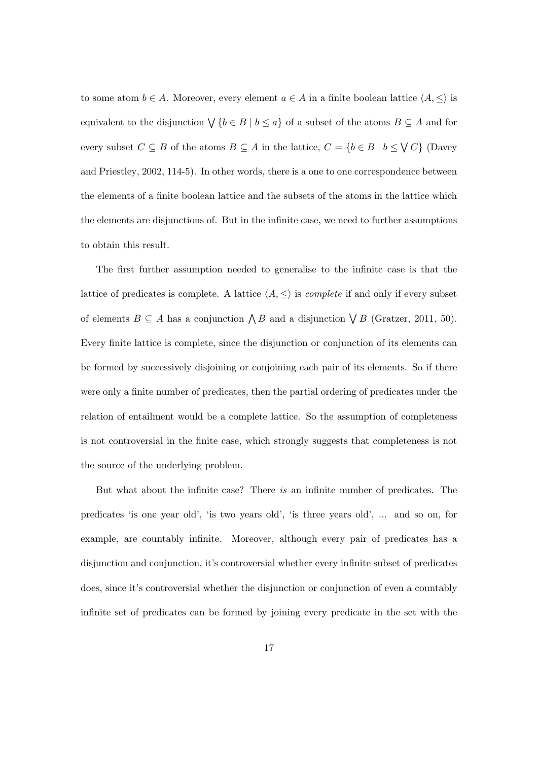to some atom  $b \in A$ . Moreover, every element  $a \in A$  in a finite boolean lattice  $\langle A, \leq \rangle$  is equivalent to the disjunction  $\bigvee \{b \in B \mid b \leq a\}$  of a subset of the atoms  $B \subseteq A$  and for every subset  $C \subseteq B$  of the atoms  $B \subseteq A$  in the lattice,  $C = \{b \in B \mid b \leq \bigvee C\}$  (Davey and Priestley, 2002, 114-5). In other words, there is a one to one correspondence between the elements of a finite boolean lattice and the subsets of the atoms in the lattice which the elements are disjunctions of. But in the infinite case, we need to further assumptions to obtain this result.

The first further assumption needed to generalise to the infinite case is that the lattice of predicates is complete. A lattice  $\langle A, \leq \rangle$  is *complete* if and only if every subset of elements  $B \subseteq A$  has a conjunction  $\bigwedge B$  and a disjunction  $\bigvee B$  (Gratzer, 2011, 50). Every finite lattice is complete, since the disjunction or conjunction of its elements can be formed by successively disjoining or conjoining each pair of its elements. So if there were only a finite number of predicates, then the partial ordering of predicates under the relation of entailment would be a complete lattice. So the assumption of completeness is not controversial in the finite case, which strongly suggests that completeness is not the source of the underlying problem.

But what about the infinite case? There is an infinite number of predicates. The predicates 'is one year old', 'is two years old', 'is three years old', ... and so on, for example, are countably infinite. Moreover, although every pair of predicates has a disjunction and conjunction, it's controversial whether every infinite subset of predicates does, since it's controversial whether the disjunction or conjunction of even a countably infinite set of predicates can be formed by joining every predicate in the set with the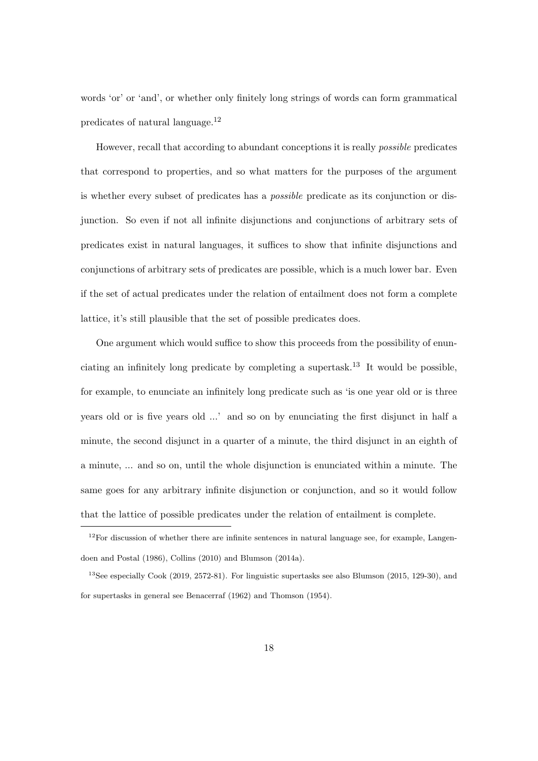words 'or' or 'and', or whether only finitely long strings of words can form grammatical predicates of natural language.<sup>12</sup>

However, recall that according to abundant conceptions it is really possible predicates that correspond to properties, and so what matters for the purposes of the argument is whether every subset of predicates has a possible predicate as its conjunction or disjunction. So even if not all infinite disjunctions and conjunctions of arbitrary sets of predicates exist in natural languages, it suffices to show that infinite disjunctions and conjunctions of arbitrary sets of predicates are possible, which is a much lower bar. Even if the set of actual predicates under the relation of entailment does not form a complete lattice, it's still plausible that the set of possible predicates does.

One argument which would suffice to show this proceeds from the possibility of enunciating an infinitely long predicate by completing a supertask.<sup>13</sup> It would be possible, for example, to enunciate an infinitely long predicate such as 'is one year old or is three years old or is five years old ...' and so on by enunciating the first disjunct in half a minute, the second disjunct in a quarter of a minute, the third disjunct in an eighth of a minute, ... and so on, until the whole disjunction is enunciated within a minute. The same goes for any arbitrary infinite disjunction or conjunction, and so it would follow that the lattice of possible predicates under the relation of entailment is complete.

 $12$ For discussion of whether there are infinite sentences in natural language see, for example, Langendoen and Postal (1986), Collins (2010) and Blumson (2014a).

<sup>13</sup>See especially Cook (2019, 2572-81). For linguistic supertasks see also Blumson (2015, 129-30), and for supertasks in general see Benacerraf (1962) and Thomson (1954).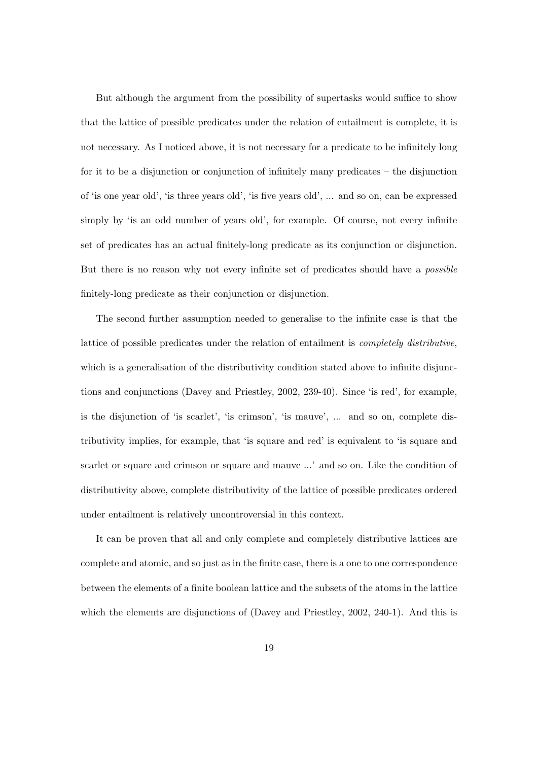But although the argument from the possibility of supertasks would suffice to show that the lattice of possible predicates under the relation of entailment is complete, it is not necessary. As I noticed above, it is not necessary for a predicate to be infinitely long for it to be a disjunction or conjunction of infinitely many predicates – the disjunction of 'is one year old', 'is three years old', 'is five years old', ... and so on, can be expressed simply by 'is an odd number of years old', for example. Of course, not every infinite set of predicates has an actual finitely-long predicate as its conjunction or disjunction. But there is no reason why not every infinite set of predicates should have a possible finitely-long predicate as their conjunction or disjunction.

The second further assumption needed to generalise to the infinite case is that the lattice of possible predicates under the relation of entailment is completely distributive, which is a generalisation of the distributivity condition stated above to infinite disjunctions and conjunctions (Davey and Priestley, 2002, 239-40). Since 'is red', for example, is the disjunction of 'is scarlet', 'is crimson', 'is mauve', ... and so on, complete distributivity implies, for example, that 'is square and red' is equivalent to 'is square and scarlet or square and crimson or square and mauve ...' and so on. Like the condition of distributivity above, complete distributivity of the lattice of possible predicates ordered under entailment is relatively uncontroversial in this context.

It can be proven that all and only complete and completely distributive lattices are complete and atomic, and so just as in the finite case, there is a one to one correspondence between the elements of a finite boolean lattice and the subsets of the atoms in the lattice which the elements are disjunctions of (Davey and Priestley, 2002, 240-1). And this is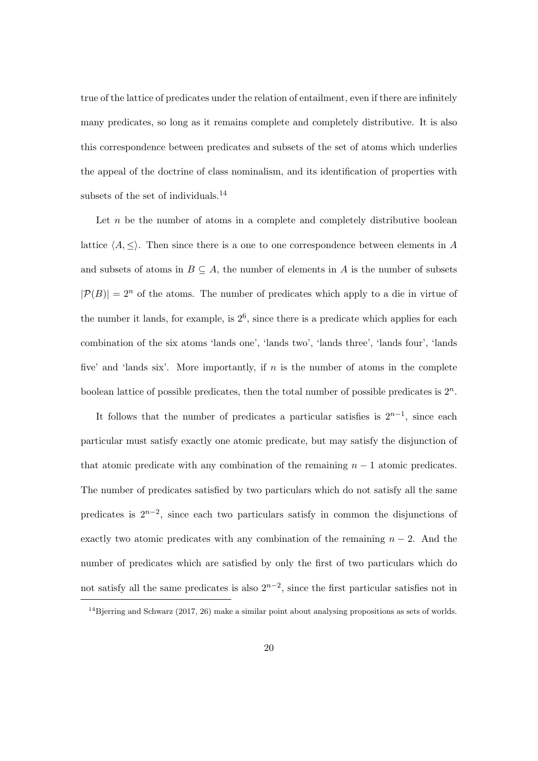true of the lattice of predicates under the relation of entailment, even if there are infinitely many predicates, so long as it remains complete and completely distributive. It is also this correspondence between predicates and subsets of the set of atoms which underlies the appeal of the doctrine of class nominalism, and its identification of properties with subsets of the set of individuals.<sup>14</sup>

Let  $n$  be the number of atoms in a complete and completely distributive boolean lattice  $\langle A, \leq \rangle$ . Then since there is a one to one correspondence between elements in A and subsets of atoms in  $B \subseteq A$ , the number of elements in A is the number of subsets  $|\mathcal{P}(B)| = 2^n$  of the atoms. The number of predicates which apply to a die in virtue of the number it lands, for example, is  $2<sup>6</sup>$ , since there is a predicate which applies for each combination of the six atoms 'lands one', 'lands two', 'lands three', 'lands four', 'lands five' and 'lands six'. More importantly, if  $n$  is the number of atoms in the complete boolean lattice of possible predicates, then the total number of possible predicates is  $2<sup>n</sup>$ .

It follows that the number of predicates a particular satisfies is  $2^{n-1}$ , since each particular must satisfy exactly one atomic predicate, but may satisfy the disjunction of that atomic predicate with any combination of the remaining  $n - 1$  atomic predicates. The number of predicates satisfied by two particulars which do not satisfy all the same predicates is  $2^{n-2}$ , since each two particulars satisfy in common the disjunctions of exactly two atomic predicates with any combination of the remaining  $n-2$ . And the number of predicates which are satisfied by only the first of two particulars which do not satisfy all the same predicates is also  $2^{n-2}$ , since the first particular satisfies not in

 $14B$  jerring and Schwarz (2017, 26) make a similar point about analysing propositions as sets of worlds.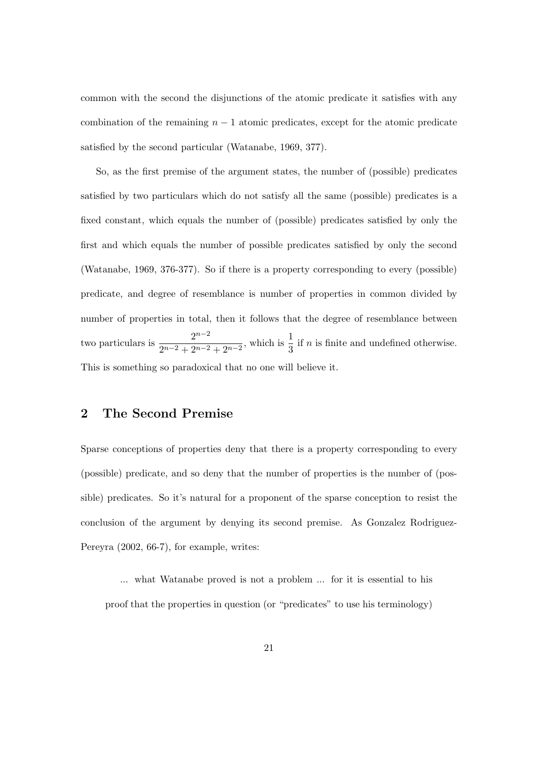common with the second the disjunctions of the atomic predicate it satisfies with any combination of the remaining  $n - 1$  atomic predicates, except for the atomic predicate satisfied by the second particular (Watanabe, 1969, 377).

So, as the first premise of the argument states, the number of (possible) predicates satisfied by two particulars which do not satisfy all the same (possible) predicates is a fixed constant, which equals the number of (possible) predicates satisfied by only the first and which equals the number of possible predicates satisfied by only the second (Watanabe, 1969, 376-377). So if there is a property corresponding to every (possible) predicate, and degree of resemblance is number of properties in common divided by number of properties in total, then it follows that the degree of resemblance between two particulars is  $\frac{2^{n-2}}{2^{n-2}+2^{n-2}}$  $\frac{2^{n-2}}{2^{n-2}+2^{n-2}+2^{n-2}}$ , which is  $\frac{1}{3}$  if *n* is finite and undefined otherwise. This is something so paradoxical that no one will believe it.

# 2 The Second Premise

Sparse conceptions of properties deny that there is a property corresponding to every (possible) predicate, and so deny that the number of properties is the number of (possible) predicates. So it's natural for a proponent of the sparse conception to resist the conclusion of the argument by denying its second premise. As Gonzalez Rodriguez-Pereyra (2002, 66-7), for example, writes:

... what Watanabe proved is not a problem ... for it is essential to his proof that the properties in question (or "predicates" to use his terminology)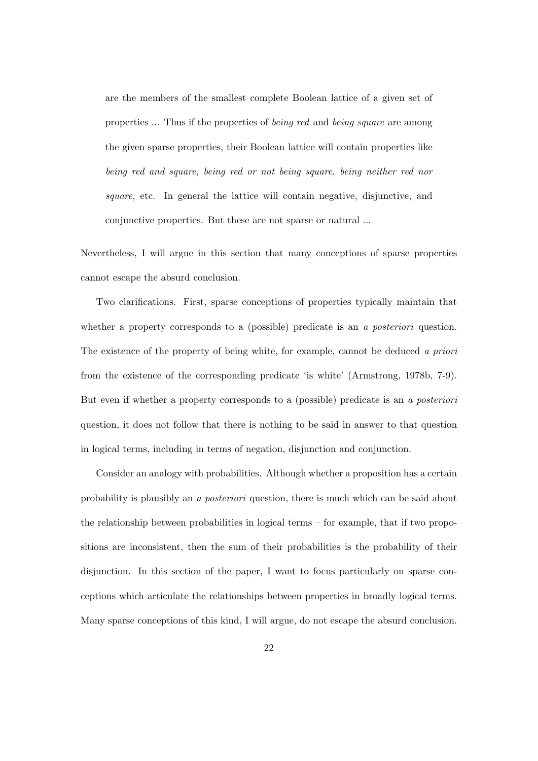are the members of the smallest complete Boolean lattice of a given set of properties ... Thus if the properties of being red and being square are among the given sparse properties, their Boolean lattice will contain properties like being red and square, being red or not being square, being neither red nor square, etc. In general the lattice will contain negative, disjunctive, and conjunctive properties. But these are not sparse or natural ...

Nevertheless, I will argue in this section that many conceptions of sparse properties cannot escape the absurd conclusion.

Two clarifications. First, sparse conceptions of properties typically maintain that whether a property corresponds to a (possible) predicate is an a *posteriori* question. The existence of the property of being white, for example, cannot be deduced a priori from the existence of the corresponding predicate 'is white' (Armstrong, 1978b, 7-9). But even if whether a property corresponds to a (possible) predicate is an a posteriori question, it does not follow that there is nothing to be said in answer to that question in logical terms, including in terms of negation, disjunction and conjunction.

Consider an analogy with probabilities. Although whether a proposition has a certain probability is plausibly an a posteriori question, there is much which can be said about the relationship between probabilities in logical terms – for example, that if two propositions are inconsistent, then the sum of their probabilities is the probability of their disjunction. In this section of the paper, I want to focus particularly on sparse conceptions which articulate the relationships between properties in broadly logical terms. Many sparse conceptions of this kind, I will argue, do not escape the absurd conclusion.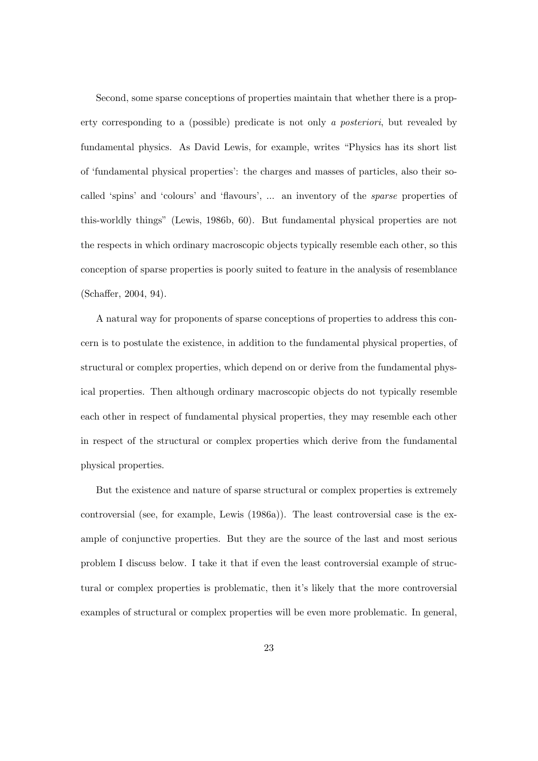Second, some sparse conceptions of properties maintain that whether there is a property corresponding to a (possible) predicate is not only a posteriori, but revealed by fundamental physics. As David Lewis, for example, writes "Physics has its short list of 'fundamental physical properties': the charges and masses of particles, also their socalled 'spins' and 'colours' and 'flavours', ... an inventory of the sparse properties of this-worldly things" (Lewis, 1986b, 60). But fundamental physical properties are not the respects in which ordinary macroscopic objects typically resemble each other, so this conception of sparse properties is poorly suited to feature in the analysis of resemblance (Schaffer, 2004, 94).

A natural way for proponents of sparse conceptions of properties to address this concern is to postulate the existence, in addition to the fundamental physical properties, of structural or complex properties, which depend on or derive from the fundamental physical properties. Then although ordinary macroscopic objects do not typically resemble each other in respect of fundamental physical properties, they may resemble each other in respect of the structural or complex properties which derive from the fundamental physical properties.

But the existence and nature of sparse structural or complex properties is extremely controversial (see, for example, Lewis (1986a)). The least controversial case is the example of conjunctive properties. But they are the source of the last and most serious problem I discuss below. I take it that if even the least controversial example of structural or complex properties is problematic, then it's likely that the more controversial examples of structural or complex properties will be even more problematic. In general,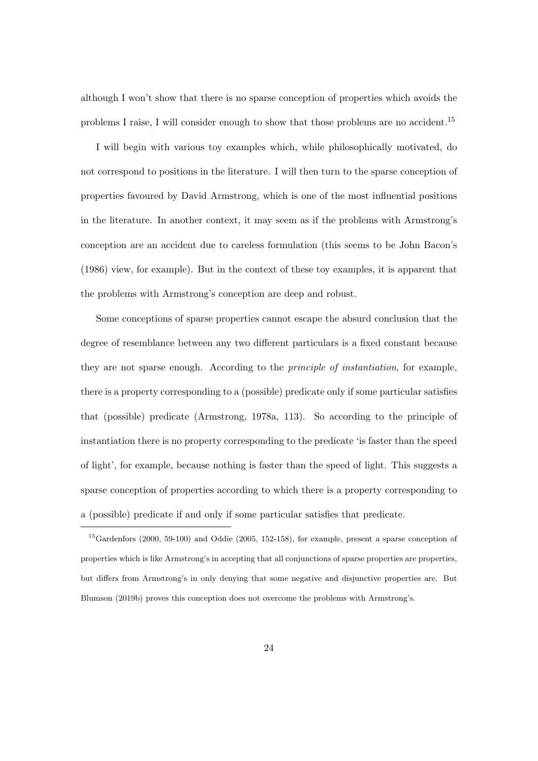although I won't show that there is no sparse conception of properties which avoids the problems I raise, I will consider enough to show that those problems are no accident.<sup>15</sup>

I will begin with various toy examples which, while philosophically motivated, do not correspond to positions in the literature. I will then turn to the sparse conception of properties favoured by David Armstrong, which is one of the most influential positions in the literature. In another context, it may seem as if the problems with Armstrong's conception are an accident due to careless formulation (this seems to be John Bacon's (1986) view, for example). But in the context of these toy examples, it is apparent that the problems with Armstrong's conception are deep and robust.

Some conceptions of sparse properties cannot escape the absurd conclusion that the degree of resemblance between any two different particulars is a fixed constant because they are not sparse enough. According to the principle of instantiation, for example, there is a property corresponding to a (possible) predicate only if some particular satisfies that (possible) predicate (Armstrong, 1978a, 113). So according to the principle of instantiation there is no property corresponding to the predicate 'is faster than the speed of light', for example, because nothing is faster than the speed of light. This suggests a sparse conception of properties according to which there is a property corresponding to a (possible) predicate if and only if some particular satisfies that predicate.

<sup>15</sup>Gardenfors (2000, 59-100) and Oddie (2005, 152-158), for example, present a sparse conception of properties which is like Armstrong's in accepting that all conjunctions of sparse properties are properties, but differs from Armstrong's in only denying that some negative and disjunctive properties are. But Blumson (2019b) proves this conception does not overcome the problems with Armstrong's.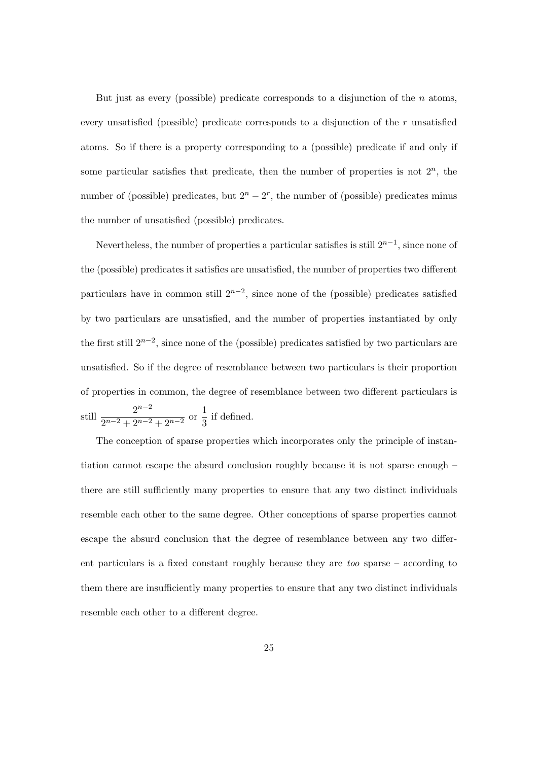But just as every (possible) predicate corresponds to a disjunction of the  $n$  atoms, every unsatisfied (possible) predicate corresponds to a disjunction of the r unsatisfied atoms. So if there is a property corresponding to a (possible) predicate if and only if some particular satisfies that predicate, then the number of properties is not  $2<sup>n</sup>$ , the number of (possible) predicates, but  $2<sup>n</sup> - 2<sup>r</sup>$ , the number of (possible) predicates minus the number of unsatisfied (possible) predicates.

Nevertheless, the number of properties a particular satisfies is still  $2^{n-1}$ , since none of the (possible) predicates it satisfies are unsatisfied, the number of properties two different particulars have in common still  $2^{n-2}$ , since none of the (possible) predicates satisfied by two particulars are unsatisfied, and the number of properties instantiated by only the first still  $2^{n-2}$ , since none of the (possible) predicates satisfied by two particulars are unsatisfied. So if the degree of resemblance between two particulars is their proportion of properties in common, the degree of resemblance between two different particulars is still  $\frac{2^{n-2}}{2^{n-2}+2^{n-2}}$  $\frac{2^{n-2}}{2^{n-2}+2^{n-2}+2^{n-2}}$  or  $\frac{1}{3}$  $\frac{1}{3}$  if defined.

The conception of sparse properties which incorporates only the principle of instantiation cannot escape the absurd conclusion roughly because it is not sparse enough – there are still sufficiently many properties to ensure that any two distinct individuals resemble each other to the same degree. Other conceptions of sparse properties cannot escape the absurd conclusion that the degree of resemblance between any two different particulars is a fixed constant roughly because they are too sparse – according to them there are insufficiently many properties to ensure that any two distinct individuals resemble each other to a different degree.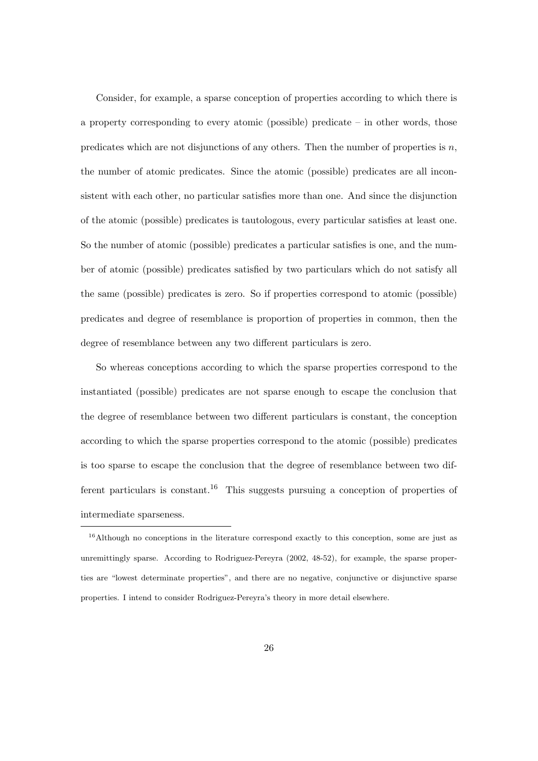Consider, for example, a sparse conception of properties according to which there is a property corresponding to every atomic (possible) predicate – in other words, those predicates which are not disjunctions of any others. Then the number of properties is  $n$ , the number of atomic predicates. Since the atomic (possible) predicates are all inconsistent with each other, no particular satisfies more than one. And since the disjunction of the atomic (possible) predicates is tautologous, every particular satisfies at least one. So the number of atomic (possible) predicates a particular satisfies is one, and the number of atomic (possible) predicates satisfied by two particulars which do not satisfy all the same (possible) predicates is zero. So if properties correspond to atomic (possible) predicates and degree of resemblance is proportion of properties in common, then the degree of resemblance between any two different particulars is zero.

So whereas conceptions according to which the sparse properties correspond to the instantiated (possible) predicates are not sparse enough to escape the conclusion that the degree of resemblance between two different particulars is constant, the conception according to which the sparse properties correspond to the atomic (possible) predicates is too sparse to escape the conclusion that the degree of resemblance between two different particulars is constant.<sup>16</sup> This suggests pursuing a conception of properties of intermediate sparseness.

<sup>&</sup>lt;sup>16</sup>Although no conceptions in the literature correspond exactly to this conception, some are just as unremittingly sparse. According to Rodriguez-Pereyra (2002, 48-52), for example, the sparse properties are "lowest determinate properties", and there are no negative, conjunctive or disjunctive sparse properties. I intend to consider Rodriguez-Pereyra's theory in more detail elsewhere.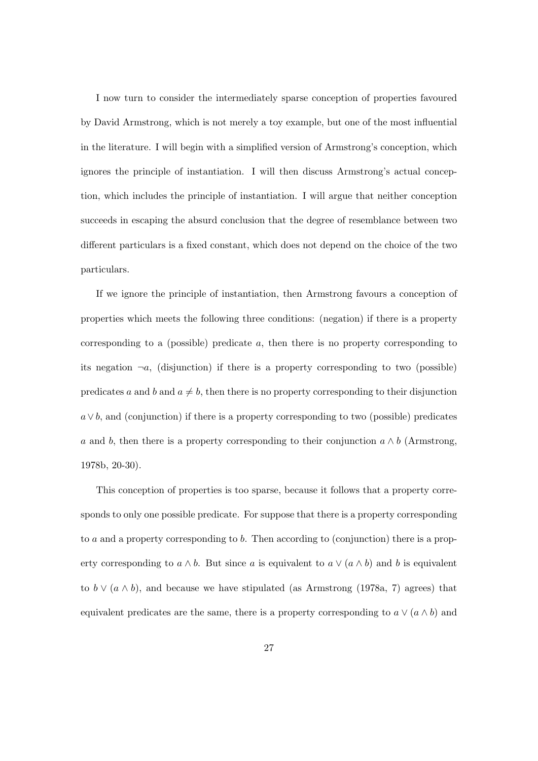I now turn to consider the intermediately sparse conception of properties favoured by David Armstrong, which is not merely a toy example, but one of the most influential in the literature. I will begin with a simplified version of Armstrong's conception, which ignores the principle of instantiation. I will then discuss Armstrong's actual conception, which includes the principle of instantiation. I will argue that neither conception succeeds in escaping the absurd conclusion that the degree of resemblance between two different particulars is a fixed constant, which does not depend on the choice of the two particulars.

If we ignore the principle of instantiation, then Armstrong favours a conception of properties which meets the following three conditions: (negation) if there is a property corresponding to a (possible) predicate a, then there is no property corresponding to its negation  $\neg a$ , (disjunction) if there is a property corresponding to two (possible) predicates a and b and  $a \neq b$ , then there is no property corresponding to their disjunction  $a \vee b$ , and (conjunction) if there is a property corresponding to two (possible) predicates a and b, then there is a property corresponding to their conjunction  $a \wedge b$  (Armstrong, 1978b, 20-30).

This conception of properties is too sparse, because it follows that a property corresponds to only one possible predicate. For suppose that there is a property corresponding to a and a property corresponding to b. Then according to (conjunction) there is a property corresponding to  $a \wedge b$ . But since a is equivalent to  $a \vee (a \wedge b)$  and b is equivalent to  $b \vee (a \wedge b)$ , and because we have stipulated (as Armstrong (1978a, 7) agrees) that equivalent predicates are the same, there is a property corresponding to  $a \vee (a \wedge b)$  and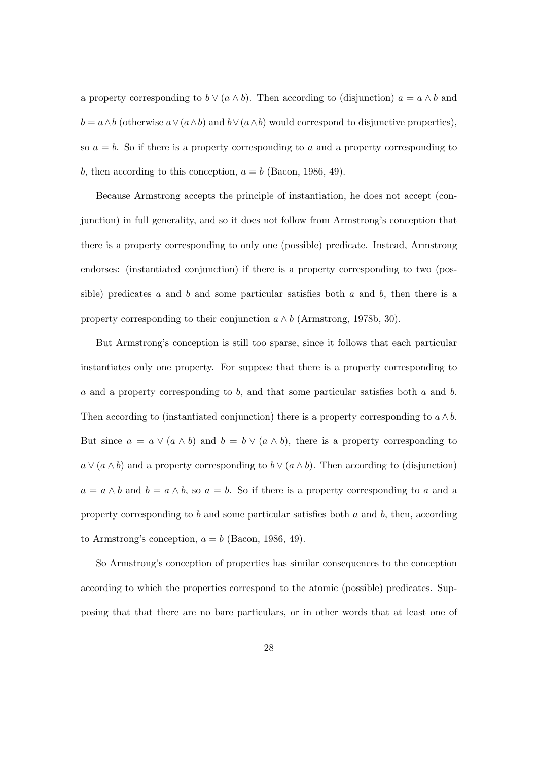a property corresponding to  $b \vee (a \wedge b)$ . Then according to (disjunction)  $a = a \wedge b$  and  $b = a \wedge b$  (otherwise  $a \vee (a \wedge b)$  and  $b \vee (a \wedge b)$  would correspond to disjunctive properties), so  $a = b$ . So if there is a property corresponding to a and a property corresponding to b, then according to this conception,  $a = b$  (Bacon, 1986, 49).

Because Armstrong accepts the principle of instantiation, he does not accept (conjunction) in full generality, and so it does not follow from Armstrong's conception that there is a property corresponding to only one (possible) predicate. Instead, Armstrong endorses: (instantiated conjunction) if there is a property corresponding to two (possible) predicates a and b and some particular satisfies both a and b, then there is a property corresponding to their conjunction  $a \wedge b$  (Armstrong, 1978b, 30).

But Armstrong's conception is still too sparse, since it follows that each particular instantiates only one property. For suppose that there is a property corresponding to  $a$  and a property corresponding to  $b$ , and that some particular satisfies both  $a$  and  $b$ . Then according to (instantiated conjunction) there is a property corresponding to  $a \wedge b$ . But since  $a = a \vee (a \wedge b)$  and  $b = b \vee (a \wedge b)$ , there is a property corresponding to  $a \vee (a \wedge b)$  and a property corresponding to  $b \vee (a \wedge b)$ . Then according to (disjunction)  $a = a \wedge b$  and  $b = a \wedge b$ , so  $a = b$ . So if there is a property corresponding to a and a property corresponding to  $b$  and some particular satisfies both  $a$  and  $b$ , then, according to Armstrong's conception,  $a = b$  (Bacon, 1986, 49).

So Armstrong's conception of properties has similar consequences to the conception according to which the properties correspond to the atomic (possible) predicates. Supposing that that there are no bare particulars, or in other words that at least one of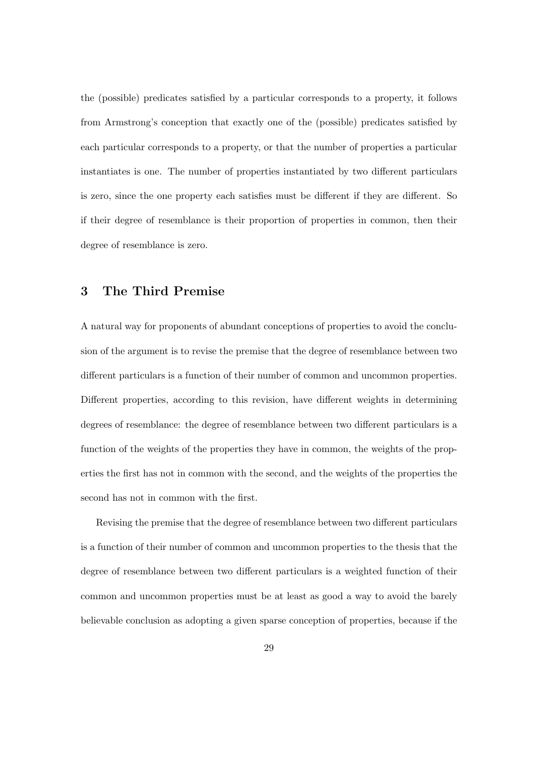the (possible) predicates satisfied by a particular corresponds to a property, it follows from Armstrong's conception that exactly one of the (possible) predicates satisfied by each particular corresponds to a property, or that the number of properties a particular instantiates is one. The number of properties instantiated by two different particulars is zero, since the one property each satisfies must be different if they are different. So if their degree of resemblance is their proportion of properties in common, then their degree of resemblance is zero.

#### 3 The Third Premise

A natural way for proponents of abundant conceptions of properties to avoid the conclusion of the argument is to revise the premise that the degree of resemblance between two different particulars is a function of their number of common and uncommon properties. Different properties, according to this revision, have different weights in determining degrees of resemblance: the degree of resemblance between two different particulars is a function of the weights of the properties they have in common, the weights of the properties the first has not in common with the second, and the weights of the properties the second has not in common with the first.

Revising the premise that the degree of resemblance between two different particulars is a function of their number of common and uncommon properties to the thesis that the degree of resemblance between two different particulars is a weighted function of their common and uncommon properties must be at least as good a way to avoid the barely believable conclusion as adopting a given sparse conception of properties, because if the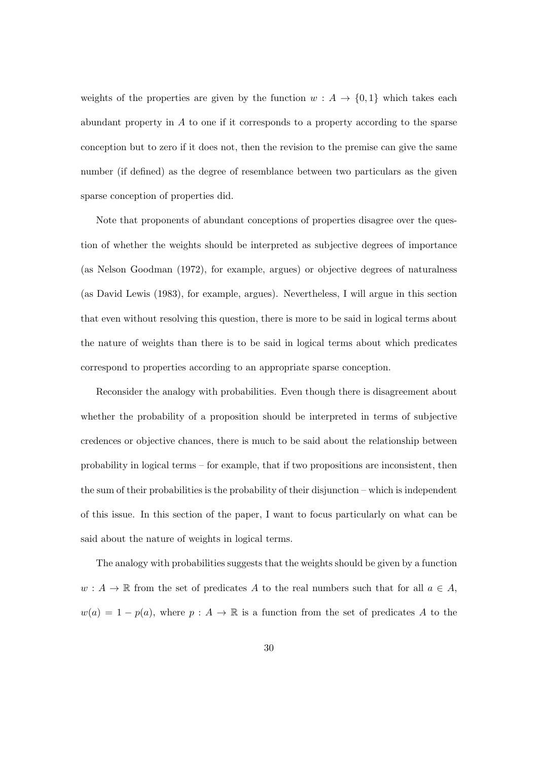weights of the properties are given by the function  $w : A \to \{0,1\}$  which takes each abundant property in A to one if it corresponds to a property according to the sparse conception but to zero if it does not, then the revision to the premise can give the same number (if defined) as the degree of resemblance between two particulars as the given sparse conception of properties did.

Note that proponents of abundant conceptions of properties disagree over the question of whether the weights should be interpreted as subjective degrees of importance (as Nelson Goodman (1972), for example, argues) or objective degrees of naturalness (as David Lewis (1983), for example, argues). Nevertheless, I will argue in this section that even without resolving this question, there is more to be said in logical terms about the nature of weights than there is to be said in logical terms about which predicates correspond to properties according to an appropriate sparse conception.

Reconsider the analogy with probabilities. Even though there is disagreement about whether the probability of a proposition should be interpreted in terms of subjective credences or objective chances, there is much to be said about the relationship between probability in logical terms – for example, that if two propositions are inconsistent, then the sum of their probabilities is the probability of their disjunction – which is independent of this issue. In this section of the paper, I want to focus particularly on what can be said about the nature of weights in logical terms.

The analogy with probabilities suggests that the weights should be given by a function  $w : A \to \mathbb{R}$  from the set of predicates A to the real numbers such that for all  $a \in A$ ,  $w(a) = 1 - p(a)$ , where  $p : A \to \mathbb{R}$  is a function from the set of predicates A to the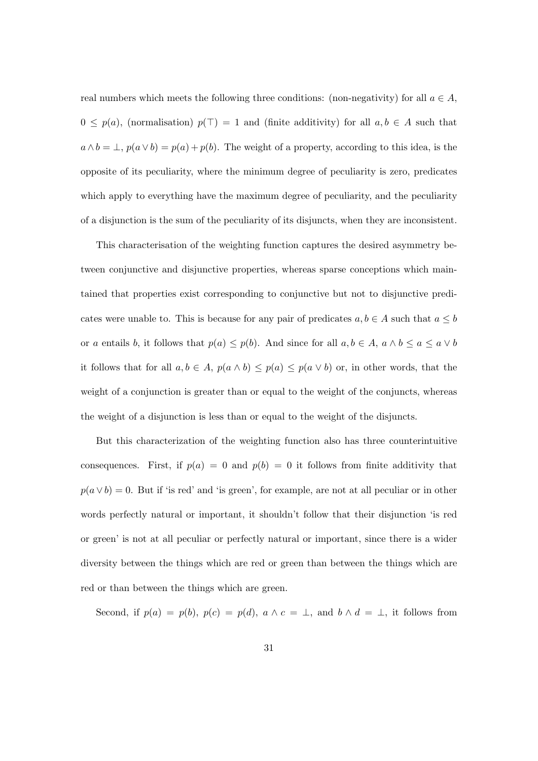real numbers which meets the following three conditions: (non-negativity) for all  $a \in A$ ,  $0 \leq p(a)$ , (normalisation)  $p(\top) = 1$  and (finite additivity) for all  $a, b \in A$  such that  $a \wedge b = \bot$ ,  $p(a \vee b) = p(a) + p(b)$ . The weight of a property, according to this idea, is the opposite of its peculiarity, where the minimum degree of peculiarity is zero, predicates which apply to everything have the maximum degree of peculiarity, and the peculiarity of a disjunction is the sum of the peculiarity of its disjuncts, when they are inconsistent.

This characterisation of the weighting function captures the desired asymmetry between conjunctive and disjunctive properties, whereas sparse conceptions which maintained that properties exist corresponding to conjunctive but not to disjunctive predicates were unable to. This is because for any pair of predicates  $a, b \in A$  such that  $a \leq b$ or a entails b, it follows that  $p(a) \leq p(b)$ . And since for all  $a, b \in A$ ,  $a \wedge b \leq a \leq a \vee b$ it follows that for all  $a, b \in A$ ,  $p(a \wedge b) \leq p(a) \leq p(a \vee b)$  or, in other words, that the weight of a conjunction is greater than or equal to the weight of the conjuncts, whereas the weight of a disjunction is less than or equal to the weight of the disjuncts.

But this characterization of the weighting function also has three counterintuitive consequences. First, if  $p(a) = 0$  and  $p(b) = 0$  it follows from finite additivity that  $p(a \vee b) = 0$ . But if 'is red' and 'is green', for example, are not at all peculiar or in other words perfectly natural or important, it shouldn't follow that their disjunction 'is red or green' is not at all peculiar or perfectly natural or important, since there is a wider diversity between the things which are red or green than between the things which are red or than between the things which are green.

Second, if  $p(a) = p(b)$ ,  $p(c) = p(d)$ ,  $a \wedge c = \perp$ , and  $b \wedge d = \perp$ , it follows from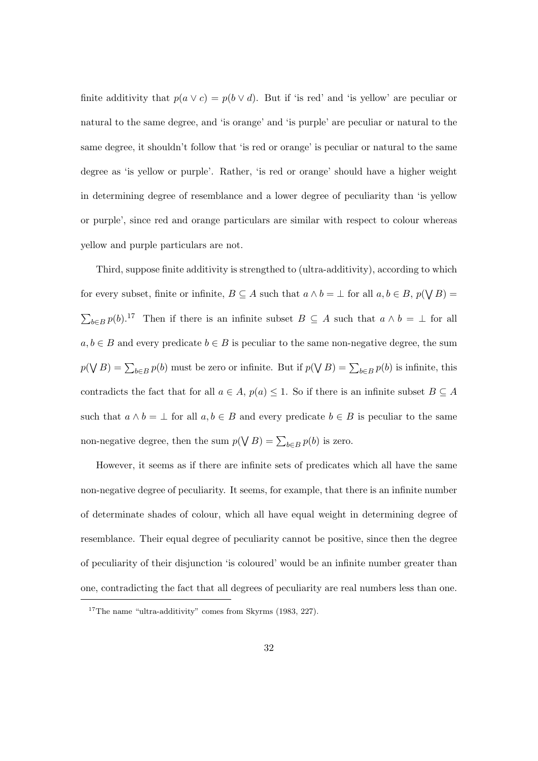finite additivity that  $p(a \lor c) = p(b \lor d)$ . But if 'is red' and 'is yellow' are peculiar or natural to the same degree, and 'is orange' and 'is purple' are peculiar or natural to the same degree, it shouldn't follow that 'is red or orange' is peculiar or natural to the same degree as 'is yellow or purple'. Rather, 'is red or orange' should have a higher weight in determining degree of resemblance and a lower degree of peculiarity than 'is yellow or purple', since red and orange particulars are similar with respect to colour whereas yellow and purple particulars are not.

Third, suppose finite additivity is strengthed to (ultra-additivity), according to which for every subset, finite or infinite,  $B \subseteq A$  such that  $a \wedge b = \bot$  for all  $a, b \in B$ ,  $p(\bigvee B) =$  $\sum_{b\in B} p(b)$ .<sup>17</sup> Then if there is an infinite subset  $B \subseteq A$  such that  $a \wedge b = \perp$  for all  $a, b \in B$  and every predicate  $b \in B$  is peculiar to the same non-negative degree, the sum  $p(\bigvee B) = \sum_{b \in B} p(b)$  must be zero or infinite. But if  $p(\bigvee B) = \sum_{b \in B} p(b)$  is infinite, this contradicts the fact that for all  $a \in A$ ,  $p(a) \leq 1$ . So if there is an infinite subset  $B \subseteq A$ such that  $a \wedge b = \perp$  for all  $a, b \in B$  and every predicate  $b \in B$  is peculiar to the same non-negative degree, then the sum  $p(\bigvee B) = \sum_{b \in B} p(b)$  is zero.

However, it seems as if there are infinite sets of predicates which all have the same non-negative degree of peculiarity. It seems, for example, that there is an infinite number of determinate shades of colour, which all have equal weight in determining degree of resemblance. Their equal degree of peculiarity cannot be positive, since then the degree of peculiarity of their disjunction 'is coloured' would be an infinite number greater than one, contradicting the fact that all degrees of peculiarity are real numbers less than one.

 $17$ The name "ultra-additivity" comes from Skyrms (1983, 227).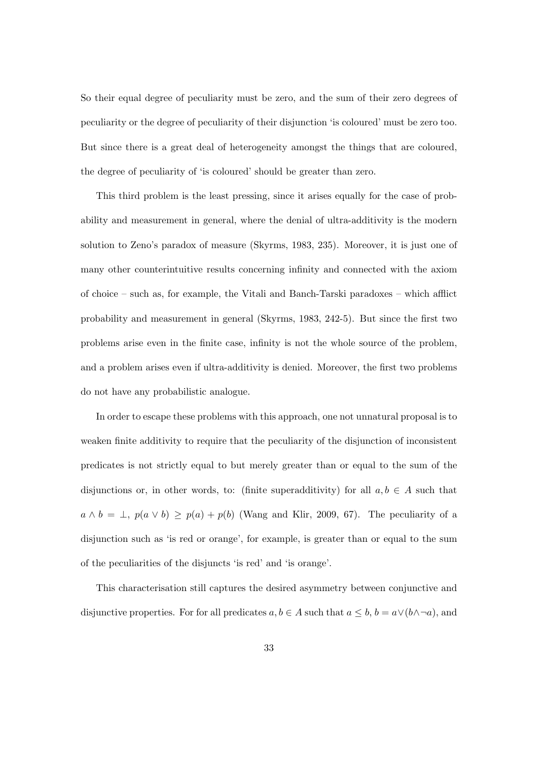So their equal degree of peculiarity must be zero, and the sum of their zero degrees of peculiarity or the degree of peculiarity of their disjunction 'is coloured' must be zero too. But since there is a great deal of heterogeneity amongst the things that are coloured, the degree of peculiarity of 'is coloured' should be greater than zero.

This third problem is the least pressing, since it arises equally for the case of probability and measurement in general, where the denial of ultra-additivity is the modern solution to Zeno's paradox of measure (Skyrms, 1983, 235). Moreover, it is just one of many other counterintuitive results concerning infinity and connected with the axiom of choice – such as, for example, the Vitali and Banch-Tarski paradoxes – which afflict probability and measurement in general (Skyrms, 1983, 242-5). But since the first two problems arise even in the finite case, infinity is not the whole source of the problem, and a problem arises even if ultra-additivity is denied. Moreover, the first two problems do not have any probabilistic analogue.

In order to escape these problems with this approach, one not unnatural proposal is to weaken finite additivity to require that the peculiarity of the disjunction of inconsistent predicates is not strictly equal to but merely greater than or equal to the sum of the disjunctions or, in other words, to: (finite superadditivity) for all  $a, b \in A$  such that  $a \wedge b = \perp$ ,  $p(a \vee b) \geq p(a) + p(b)$  (Wang and Klir, 2009, 67). The peculiarity of a disjunction such as 'is red or orange', for example, is greater than or equal to the sum of the peculiarities of the disjuncts 'is red' and 'is orange'.

This characterisation still captures the desired asymmetry between conjunctive and disjunctive properties. For for all predicates  $a, b \in A$  such that  $a \leq b, b = a \vee (b \wedge \neg a)$ , and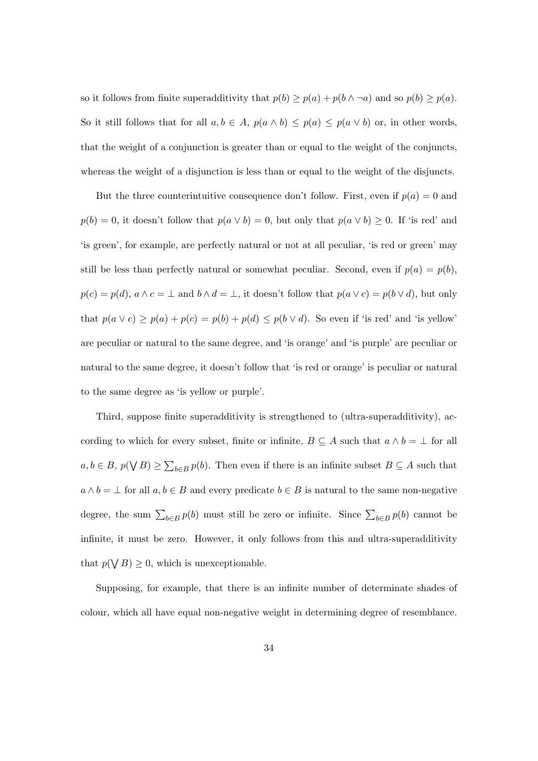so it follows from finite superadditivity that  $p(b) \geq p(a) + p(b \wedge \neg a)$  and so  $p(b) \geq p(a)$ . So it still follows that for all  $a, b \in A$ ,  $p(a \wedge b) \leq p(a) \leq p(a \vee b)$  or, in other words, that the weight of a conjunction is greater than or equal to the weight of the conjuncts, whereas the weight of a disjunction is less than or equal to the weight of the disjuncts.

But the three counterintuitive consequence don't follow. First, even if  $p(a) = 0$  and  $p(b) = 0$ , it doesn't follow that  $p(a \vee b) = 0$ , but only that  $p(a \vee b) \geq 0$ . If 'is red' and 'is green', for example, are perfectly natural or not at all peculiar, 'is red or green' may still be less than perfectly natural or somewhat peculiar. Second, even if  $p(a) = p(b)$ ,  $p(c) = p(d), a \wedge c = \perp$  and  $b \wedge d = \perp$ , it doesn't follow that  $p(a \vee c) = p(b \vee d)$ , but only that  $p(a \lor c) \geq p(a) + p(c) = p(b) + p(d) \leq p(b \lor d)$ . So even if 'is red' and 'is yellow' are peculiar or natural to the same degree, and 'is orange' and 'is purple' are peculiar or natural to the same degree, it doesn't follow that 'is red or orange' is peculiar or natural to the same degree as 'is yellow or purple'.

Third, suppose finite superadditivity is strengthened to (ultra-superadditivity), according to which for every subset, finite or infinite,  $B \subseteq A$  such that  $a \wedge b = \bot$  for all  $a, b \in B$ ,  $p(\bigvee B) \ge \sum_{b \in B} p(b)$ . Then even if there is an infinite subset  $B \subseteq A$  such that  $a \wedge b = \perp$  for all  $a, b \in B$  and every predicate  $b \in B$  is natural to the same non-negative degree, the sum  $\sum_{b \in B} p(b)$  must still be zero or infinite. Since  $\sum_{b \in B} p(b)$  cannot be infinite, it must be zero. However, it only follows from this and ultra-superadditivity that  $p(\bigvee B) \geq 0$ , which is unexceptionable.

Supposing, for example, that there is an infinite number of determinate shades of colour, which all have equal non-negative weight in determining degree of resemblance.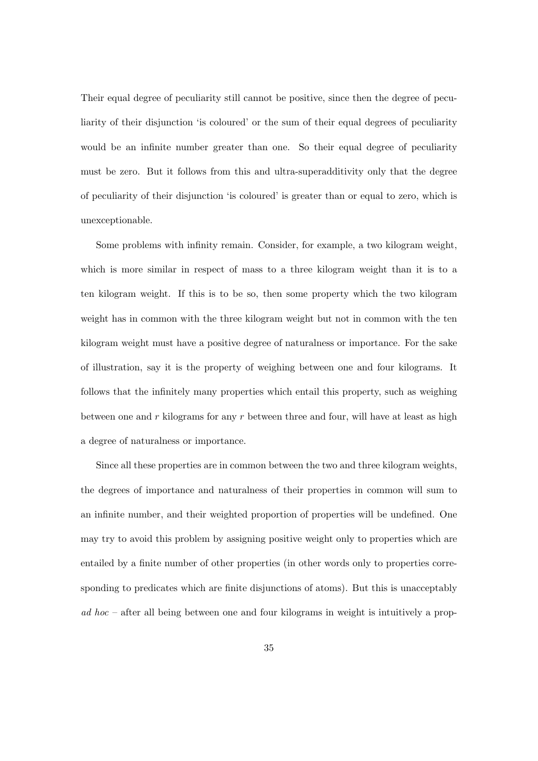Their equal degree of peculiarity still cannot be positive, since then the degree of peculiarity of their disjunction 'is coloured' or the sum of their equal degrees of peculiarity would be an infinite number greater than one. So their equal degree of peculiarity must be zero. But it follows from this and ultra-superadditivity only that the degree of peculiarity of their disjunction 'is coloured' is greater than or equal to zero, which is unexceptionable.

Some problems with infinity remain. Consider, for example, a two kilogram weight, which is more similar in respect of mass to a three kilogram weight than it is to a ten kilogram weight. If this is to be so, then some property which the two kilogram weight has in common with the three kilogram weight but not in common with the ten kilogram weight must have a positive degree of naturalness or importance. For the sake of illustration, say it is the property of weighing between one and four kilograms. It follows that the infinitely many properties which entail this property, such as weighing between one and r kilograms for any r between three and four, will have at least as high a degree of naturalness or importance.

Since all these properties are in common between the two and three kilogram weights, the degrees of importance and naturalness of their properties in common will sum to an infinite number, and their weighted proportion of properties will be undefined. One may try to avoid this problem by assigning positive weight only to properties which are entailed by a finite number of other properties (in other words only to properties corresponding to predicates which are finite disjunctions of atoms). But this is unacceptably  $ad hoc - after all being between one and four kilograms in weight is intuitively a prop-$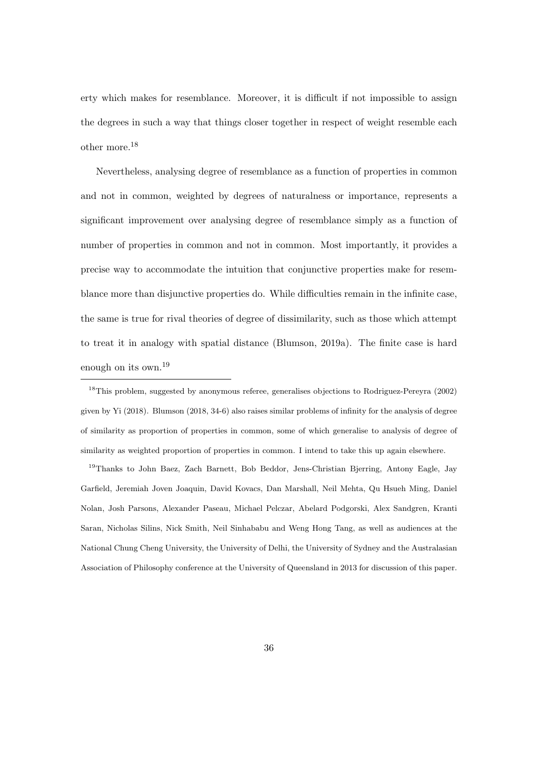erty which makes for resemblance. Moreover, it is difficult if not impossible to assign the degrees in such a way that things closer together in respect of weight resemble each other more.<sup>18</sup>

Nevertheless, analysing degree of resemblance as a function of properties in common and not in common, weighted by degrees of naturalness or importance, represents a significant improvement over analysing degree of resemblance simply as a function of number of properties in common and not in common. Most importantly, it provides a precise way to accommodate the intuition that conjunctive properties make for resemblance more than disjunctive properties do. While difficulties remain in the infinite case, the same is true for rival theories of degree of dissimilarity, such as those which attempt to treat it in analogy with spatial distance (Blumson, 2019a). The finite case is hard enough on its own.<sup>19</sup>

<sup>18</sup>This problem, suggested by anonymous referee, generalises objections to Rodriguez-Pereyra (2002) given by Yi (2018). Blumson (2018, 34-6) also raises similar problems of infinity for the analysis of degree of similarity as proportion of properties in common, some of which generalise to analysis of degree of similarity as weighted proportion of properties in common. I intend to take this up again elsewhere.

<sup>19</sup>Thanks to John Baez, Zach Barnett, Bob Beddor, Jens-Christian Bjerring, Antony Eagle, Jay Garfield, Jeremiah Joven Joaquin, David Kovacs, Dan Marshall, Neil Mehta, Qu Hsueh Ming, Daniel Nolan, Josh Parsons, Alexander Paseau, Michael Pelczar, Abelard Podgorski, Alex Sandgren, Kranti Saran, Nicholas Silins, Nick Smith, Neil Sinhababu and Weng Hong Tang, as well as audiences at the National Chung Cheng University, the University of Delhi, the University of Sydney and the Australasian Association of Philosophy conference at the University of Queensland in 2013 for discussion of this paper.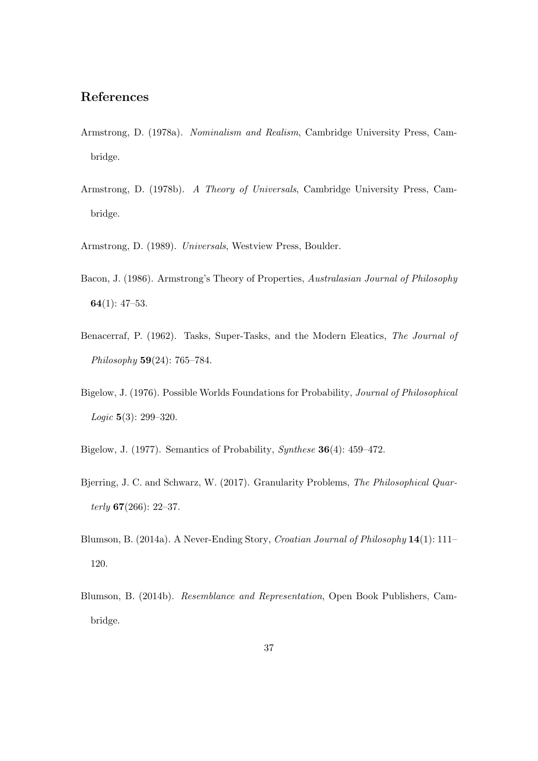### References

- Armstrong, D. (1978a). Nominalism and Realism, Cambridge University Press, Cambridge.
- Armstrong, D. (1978b). A Theory of Universals, Cambridge University Press, Cambridge.
- Armstrong, D. (1989). Universals, Westview Press, Boulder.
- Bacon, J. (1986). Armstrong's Theory of Properties, Australasian Journal of Philosophy 64 $(1)$ : 47-53.
- Benacerraf, P. (1962). Tasks, Super-Tasks, and the Modern Eleatics, The Journal of Philosophy 59(24): 765–784.
- Bigelow, J. (1976). Possible Worlds Foundations for Probability, Journal of Philosophical *Logic*  $5(3)$ : 299–320.
- Bigelow, J. (1977). Semantics of Probability, Synthese 36(4): 459–472.
- Bjerring, J. C. and Schwarz, W. (2017). Granularity Problems, The Philosophical Quarterly  $67(266): 22-37.$
- Blumson, B. (2014a). A Never-Ending Story, Croatian Journal of Philosophy 14(1): 111– 120.
- Blumson, B. (2014b). Resemblance and Representation, Open Book Publishers, Cambridge.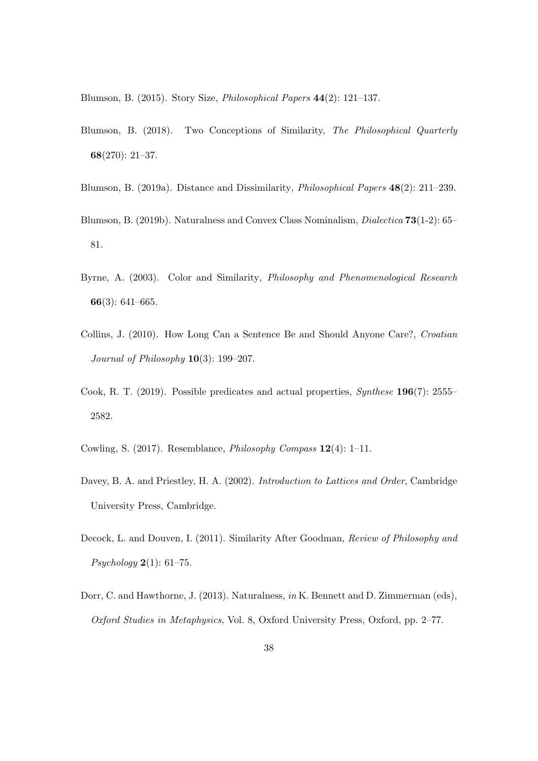Blumson, B. (2015). Story Size, Philosophical Papers 44(2): 121–137.

- Blumson, B. (2018). Two Conceptions of Similarity, The Philosophical Quarterly 68(270): 21–37.
- Blumson, B. (2019a). Distance and Dissimilarity, Philosophical Papers 48(2): 211–239.
- Blumson, B. (2019b). Naturalness and Convex Class Nominalism, Dialectica 73(1-2): 65– 81.
- Byrne, A. (2003). Color and Similarity, Philosophy and Phenomenological Research 66(3): 641–665.
- Collins, J. (2010). How Long Can a Sentence Be and Should Anyone Care?, Croatian Journal of Philosophy  $10(3)$ : 199–207.
- Cook, R. T. (2019). Possible predicates and actual properties, Synthese 196(7): 2555– 2582.
- Cowling, S. (2017). Resemblance, Philosophy Compass 12(4): 1–11.
- Davey, B. A. and Priestley, H. A. (2002). *Introduction to Lattices and Order*, Cambridge University Press, Cambridge.
- Decock, L. and Douven, I. (2011). Similarity After Goodman, Review of Philosophy and *Psychology* **2**(1): 61–75.
- Dorr, C. and Hawthorne, J. (2013). Naturalness, in K. Bennett and D. Zimmerman (eds), Oxford Studies in Metaphysics, Vol. 8, Oxford University Press, Oxford, pp. 2–77.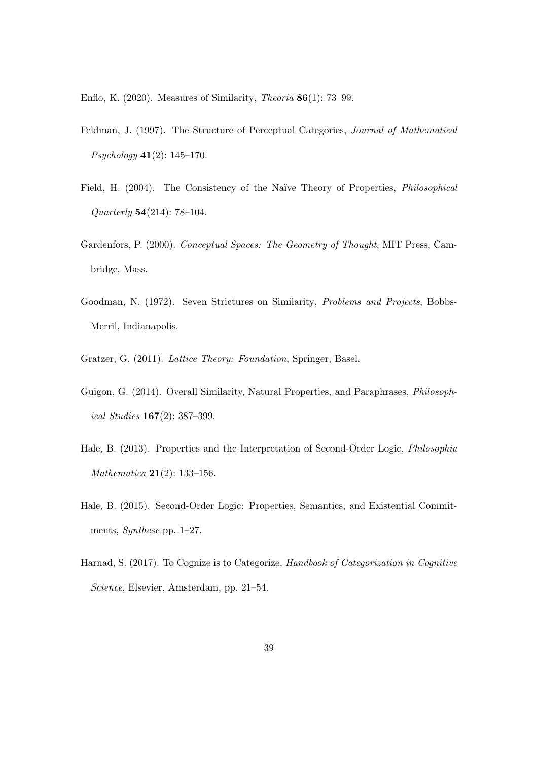Enflo, K. (2020). Measures of Similarity, Theoria 86(1): 73–99.

- Feldman, J. (1997). The Structure of Perceptual Categories, Journal of Mathematical Psychology 41(2): 145–170.
- Field, H. (2004). The Consistency of the Naïve Theory of Properties, *Philosophical* Quarterly 54(214): 78–104.
- Gardenfors, P. (2000). Conceptual Spaces: The Geometry of Thought, MIT Press, Cambridge, Mass.
- Goodman, N. (1972). Seven Strictures on Similarity, Problems and Projects, Bobbs-Merril, Indianapolis.
- Gratzer, G. (2011). Lattice Theory: Foundation, Springer, Basel.
- Guigon, G. (2014). Overall Similarity, Natural Properties, and Paraphrases, Philosophical Studies 167(2): 387–399.
- Hale, B. (2013). Properties and the Interpretation of Second-Order Logic, Philosophia Mathematica 21(2): 133–156.
- Hale, B. (2015). Second-Order Logic: Properties, Semantics, and Existential Commitments, Synthese pp. 1–27.
- Harnad, S. (2017). To Cognize is to Categorize, Handbook of Categorization in Cognitive Science, Elsevier, Amsterdam, pp. 21–54.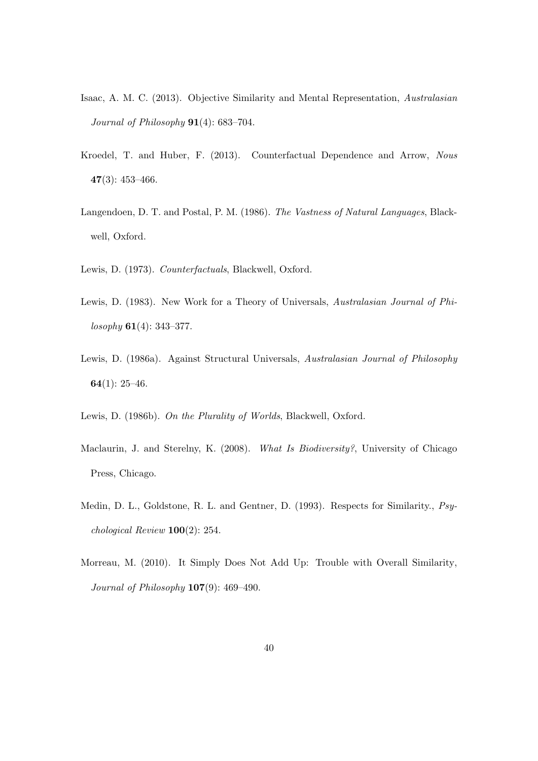- Isaac, A. M. C. (2013). Objective Similarity and Mental Representation, Australasian Journal of Philosophy  $91(4)$ : 683-704.
- Kroedel, T. and Huber, F. (2013). Counterfactual Dependence and Arrow, Nous  $47(3): 453 - 466.$
- Langendoen, D. T. and Postal, P. M. (1986). The Vastness of Natural Languages, Blackwell, Oxford.
- Lewis, D. (1973). Counterfactuals, Blackwell, Oxford.
- Lewis, D. (1983). New Work for a Theory of Universals, Australasian Journal of Phi $losophy$  61(4): 343–377.
- Lewis, D. (1986a). Against Structural Universals, Australasian Journal of Philosophy 64 $(1)$ : 25–46.
- Lewis, D. (1986b). On the Plurality of Worlds, Blackwell, Oxford.
- Maclaurin, J. and Sterelny, K. (2008). What Is Biodiversity?, University of Chicago Press, Chicago.
- Medin, D. L., Goldstone, R. L. and Gentner, D. (1993). Respects for Similarity., Psychological Review 100(2): 254.
- Morreau, M. (2010). It Simply Does Not Add Up: Trouble with Overall Similarity, Journal of Philosophy  $107(9)$ : 469-490.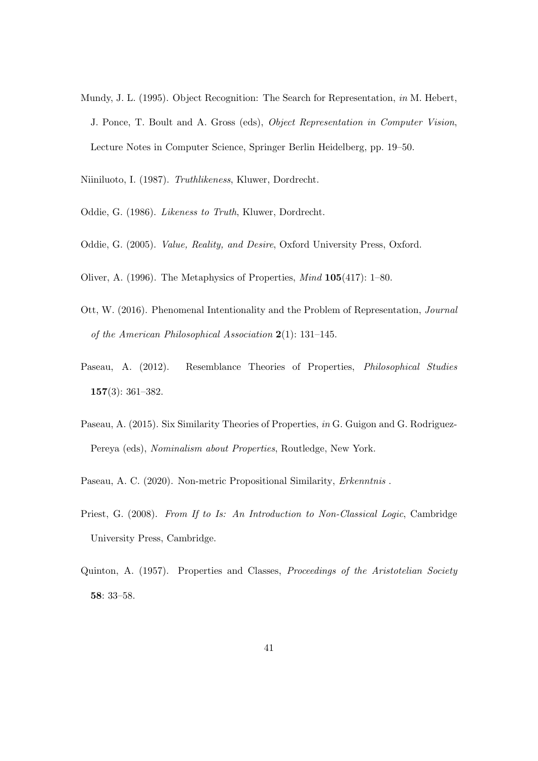Mundy, J. L. (1995). Object Recognition: The Search for Representation, in M. Hebert, J. Ponce, T. Boult and A. Gross (eds), Object Representation in Computer Vision, Lecture Notes in Computer Science, Springer Berlin Heidelberg, pp. 19–50.

Niiniluoto, I. (1987). Truthlikeness, Kluwer, Dordrecht.

- Oddie, G. (1986). Likeness to Truth, Kluwer, Dordrecht.
- Oddie, G. (2005). Value, Reality, and Desire, Oxford University Press, Oxford.
- Oliver, A. (1996). The Metaphysics of Properties, Mind 105(417): 1–80.
- Ott, W. (2016). Phenomenal Intentionality and the Problem of Representation, Journal of the American Philosophical Association 2(1): 131–145.
- Paseau, A. (2012). Resemblance Theories of Properties, Philosophical Studies 157(3): 361–382.
- Paseau, A. (2015). Six Similarity Theories of Properties, in G. Guigon and G. Rodriguez-Pereya (eds), Nominalism about Properties, Routledge, New York.
- Paseau, A. C. (2020). Non-metric Propositional Similarity, Erkenntnis.
- Priest, G. (2008). From If to Is: An Introduction to Non-Classical Logic, Cambridge University Press, Cambridge.
- Quinton, A. (1957). Properties and Classes, Proceedings of the Aristotelian Society 58: 33–58.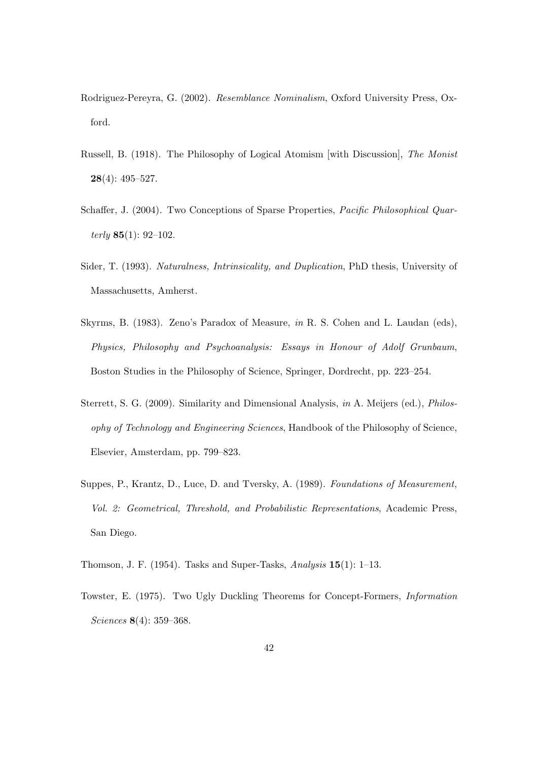- Rodriguez-Pereyra, G. (2002). Resemblance Nominalism, Oxford University Press, Oxford.
- Russell, B. (1918). The Philosophy of Logical Atomism [with Discussion], The Monist 28(4): 495–527.
- Schaffer, J. (2004). Two Conceptions of Sparse Properties, *Pacific Philosophical Quar*terly  $85(1)$ : 92-102.
- Sider, T. (1993). Naturalness, Intrinsicality, and Duplication, PhD thesis, University of Massachusetts, Amherst.
- Skyrms, B. (1983). Zeno's Paradox of Measure, in R. S. Cohen and L. Laudan (eds), Physics, Philosophy and Psychoanalysis: Essays in Honour of Adolf Grunbaum, Boston Studies in the Philosophy of Science, Springer, Dordrecht, pp. 223–254.
- Sterrett, S. G. (2009). Similarity and Dimensional Analysis, in A. Meijers (ed.), Philosophy of Technology and Engineering Sciences, Handbook of the Philosophy of Science, Elsevier, Amsterdam, pp. 799–823.
- Suppes, P., Krantz, D., Luce, D. and Tversky, A. (1989). Foundations of Measurement, Vol. 2: Geometrical, Threshold, and Probabilistic Representations, Academic Press, San Diego.
- Thomson, J. F. (1954). Tasks and Super-Tasks, Analysis  $15(1)$ : 1–13.
- Towster, E. (1975). Two Ugly Duckling Theorems for Concept-Formers, Information Sciences 8(4): 359–368.